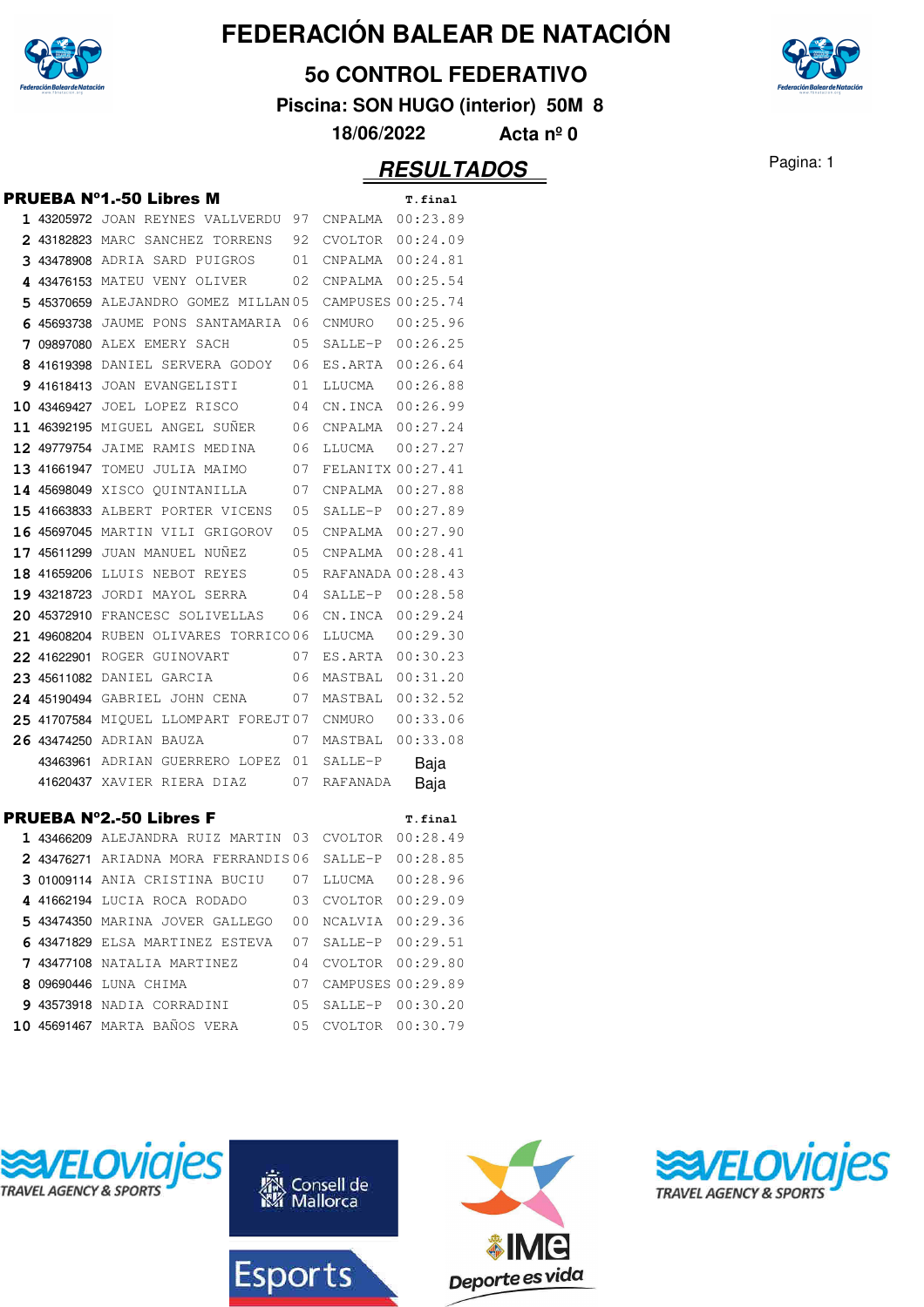

#### **5o CONTROL FEDERATIVO**

**Piscina: SON HUGO (interior) 50M 8**

**18/06/2022 Acta nº 0**

|  | <b>PRUEBA N°1.-50 Libres M</b>                         |                      | T.final  |
|--|--------------------------------------------------------|----------------------|----------|
|  | 1 43205972 JOAN REYNES VALLVERDU 97 CNPALMA 00:23.89   |                      |          |
|  | 2 43182823 MARC SANCHEZ TORRENS 92 CVOLTOR 00:24.09    |                      |          |
|  | 3 43478908 ADRIA SARD PUIGROS 01 CNPALMA 00:24.81      |                      |          |
|  | 4 43476153 MATEU VENY OLIVER 02 CNPALMA 00:25.54       |                      |          |
|  | 5 45370659 ALEJANDRO GOMEZ MILLAN 05 CAMPUSES 00:25.74 |                      |          |
|  | 6 45693738 JAUME PONS SANTAMARIA 06 CNMURO 00:25.96    |                      |          |
|  | 7 09897080 ALEX EMERY SACH 05 SALLE-P 00:26.25         |                      |          |
|  | 8 41619398 DANIEL SERVERA GODOY 06 ES.ARTA 00:26.64    |                      |          |
|  | 9 41618413 JOAN EVANGELISTI 01 LLUCMA 00:26.88         |                      |          |
|  | 10 43469427 JOEL LOPEZ RISCO 04 CN.INCA 00:26.99       |                      |          |
|  | 11 46392195 MIGUEL ANGEL SUÑER 06 CNPALMA 00:27.24     |                      |          |
|  | 12 49779754 JAIME RAMIS MEDINA 06 LLUCMA               |                      | 00:27.27 |
|  | 13 41661947 TOMEU JULIA MAIMO 07 FELANITX 00:27.41     |                      |          |
|  | 14 45698049 XISCO QUINTANILLA 07 CNPALMA 00:27.88      |                      |          |
|  | 15 41663833 ALBERT PORTER VICENS 05 SALLE-P 00:27.89   |                      |          |
|  | 16 45697045 MARTIN VILI GRIGOROV 05 CNPALMA 00:27.90   |                      |          |
|  | 17 45611299 JUAN MANUEL NUÑEZ 05 CNPALMA 00:28.41      |                      |          |
|  | 18 41659206 LLUIS NEBOT REYES 05 RAFANADA 00:28.43     |                      |          |
|  | 19 43218723 JORDI MAYOL SERRA 04 SALLE-P 00:28.58      |                      |          |
|  | 20 45372910 FRANCESC SOLIVELLAS 06 CN.INCA 00:29.24    |                      |          |
|  | 21 49608204 RUBEN OLIVARES TORRICO 06 LLUCMA           |                      | 00:29.30 |
|  | 22 41622901 ROGER GUINOVART 07 ES.ARTA 00:30.23        |                      |          |
|  | 23 45611082 DANIEL GARCIA 606 MASTBAL 00:31.20         |                      |          |
|  | 24 45190494 GABRIEL JOHN CENA 07 MASTBAL 00:32.52      |                      |          |
|  | 25 41707584 MIQUEL LLOMPART FOREJT07 CNMURO 00:33.06   |                      |          |
|  | 26 43474250 ADRIAN BAUZA 07 MASTBAL 00:33.08           |                      |          |
|  | 43463961 ADRIAN GUERRERO LOPEZ 01 SALLE-P              |                      | Baja     |
|  | 41620437 XAVIER RIERA DIAZ 07 RAFANADA                 |                      | Baja     |
|  | PRUEBA N°2.-50 Libres F                                |                      | T.final  |
|  | 1 43466209 ALEJANDRA RUIZ MARTIN 03 CVOLTOR 00:28.49   |                      |          |
|  | 2 43476271 ARIADNA MORA FERRANDIS06 SALLE-P 00:28.85   |                      |          |
|  | 3 01009114 ANIA CRISTINA BUCIU 07 LLUCMA 00:28.96      |                      |          |
|  | 4 41662194 LUCIA ROCA RODADO 03 CVOLTOR 00:29.09       |                      |          |
|  | 5 43474350 MARINA JOVER GALLEGO 00 NCALVIA 00:29.36    |                      |          |
|  | 6 43471829 ELSA MARTINEZ ESTEVA 07 SALLE-P 00:29.51    |                      |          |
|  | 7 43477108 NATALIA MARTINEZ 04 CVOLTOR 00:29.80        |                      |          |
|  | 8 09690446 LUNA CHIMA                                  | 07 CAMPUSES 00:29.89 |          |
|  | 9 43573918 NADIA CORRADINI 05 SALLE-P 00:30.20         |                      |          |
|  | 10 45691467 MARTA BAÑOS VERA 05 CVOLTOR 00:30.79       |                      |          |









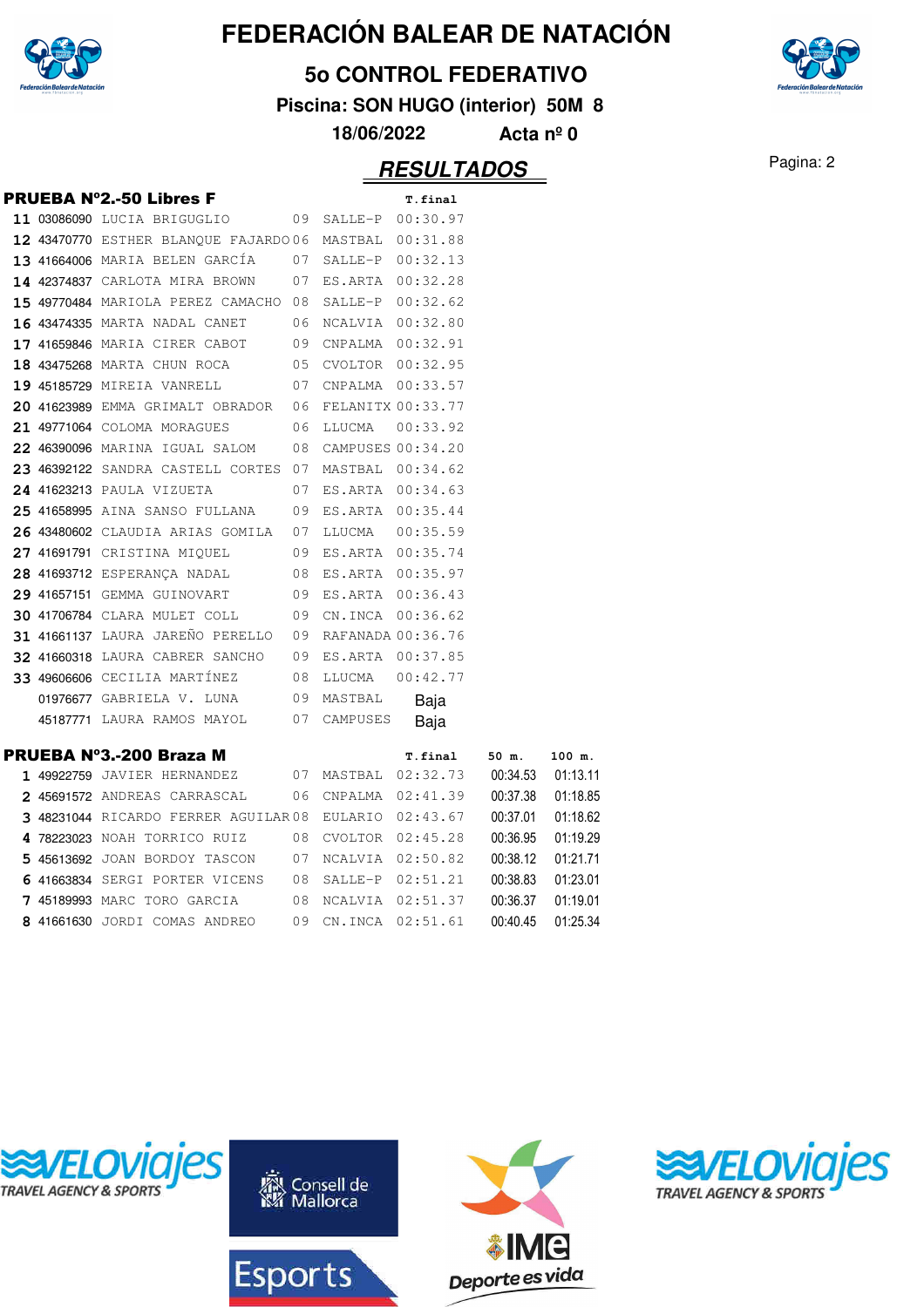

#### **5o CONTROL FEDERATIVO**

**Piscina: SON HUGO (interior) 50M 8**

**18/06/2022 Acta nº 0**

### Pagina: 2 **RESULTADOS**

|  | <b>PRUEBA N°2.-50 Libres F</b>                        |     |                     | T.final             |          |          |
|--|-------------------------------------------------------|-----|---------------------|---------------------|----------|----------|
|  | 11 03086090 LUCIA BRIGUGLIO                           |     | 09 SALLE-P 00:30.97 |                     |          |          |
|  | 12 43470770 ESTHER BLANQUE FAJARDO06 MASTBAL 00:31.88 |     |                     |                     |          |          |
|  | 13 41664006 MARIA BELEN GARCÍA                        | 07  |                     | SALLE-P 00:32.13    |          |          |
|  | 14 42374837 CARLOTA MIRA BROWN                        | 07  | ES.ARTA 00:32.28    |                     |          |          |
|  | 15 49770484 MARIOLA PEREZ CAMACHO 08                  |     | SALLE-P 00:32.62    |                     |          |          |
|  | 16 43474335 MARTA NADAL CANET                         | 06  | NCALVIA 00:32.80    |                     |          |          |
|  | 17 41659846 MARIA CIRER CABOT                         | 09  | CNPALMA  00:32.91   |                     |          |          |
|  | 18 43475268 MARTA CHUN ROCA                           |     | 05 CVOLTOR 00:32.95 |                     |          |          |
|  | 19 45185729 MIREIA VANRELL                            | 07  | CNPALMA  00:33.57   |                     |          |          |
|  | 20 41623989 EMMA GRIMALT OBRADOR 06 FELANITX 00:33.77 |     |                     |                     |          |          |
|  | 21 49771064 COLOMA MORAGUES                           |     | 06 LLUCMA           | 00:33.92            |          |          |
|  | <b>22 46390096</b> MARINA IGUAL SALOM                 | 08  | CAMPUSES 00:34.20   |                     |          |          |
|  | 23 46392122 SANDRA CASTELL CORTES 07                  |     | MASTBAL 00:34.62    |                     |          |          |
|  | 24 41623213 PAULA VIZUETA                             | 07  | ES.ARTA 00:34.63    |                     |          |          |
|  | <b>25 41658995</b> AINA SANSO FULLANA                 | 09  | ES.ARTA 00:35.44    |                     |          |          |
|  | 26 43480602 CLAUDIA ARIAS GOMILA 07                   |     |                     | LLUCMA  00:35.59    |          |          |
|  | 27 41691791 CRISTINA MIQUEL                           | 09  | ES.ARTA 00:35.74    |                     |          |          |
|  | 28 41693712 ESPERANÇA NADAL                           | 08  |                     | ES.ARTA 00:35.97    |          |          |
|  | 29 41657151 GEMMA GUINOVART                           | 09  | ES.ARTA 00:36.43    |                     |          |          |
|  | <b>30 41706784 CLARA MULET COLL</b>                   | 09  |                     | CN.INCA 00:36.62    |          |          |
|  | 31 41661137 LAURA JAREÑO PERELLO 09                   |     | RAFANADA 00:36.76   |                     |          |          |
|  | 32 41660318 LAURA CABRER SANCHO                       | 09  | ES.ARTA 00:37.85    |                     |          |          |
|  | 33 49606606 CECILIA MARTÍNEZ                          | 08  | LLUCMA              | 00:42.77            |          |          |
|  | 01976677 GABRIELA V. LUNA                             |     | 09 MASTBAL          | Baja                |          |          |
|  | 45187771 LAURA RAMOS MAYOL                            |     | 07 CAMPUSES         | Baja                |          |          |
|  | PRUEBA Nº3.-200 Braza M                               |     |                     | T.final             | 50 m.    | 100 m.   |
|  | <b>1 49922759</b> JAVIER HERNANDEZ                    |     |                     | 07 MASTBAL 02:32.73 | 00:34.53 | 01:13.11 |
|  | 2 45691572 ANDREAS CARRASCAL                          | 06. |                     | CNPALMA 02:41.39    | 00:37.38 | 01:18.85 |
|  | 3 48231044 RICARDO FERRER AGUILAR 08                  |     |                     | EULARIO 02:43.67    | 00:37.01 | 01:18.62 |
|  | 4 78223023 NOAH TORRICO RUIZ                          | 08  |                     | CVOLTOR 02:45.28    | 00:36.95 | 01:19.29 |
|  | 5 45613692 JOAN BORDOY TASCON                         | 07  |                     | NCALVIA 02:50.82    | 00:38.12 | 01:21.71 |
|  |                                                       |     |                     | SALLE-P 02:51.21    | 00:38.83 | 01:23.01 |
|  | 6 41663834 SERGI PORTER VICENS                        | 08  |                     |                     |          |          |
|  | 7 45189993 MARC TORO GARCIA                           | 08  |                     | NCALVIA 02:51.37    | 00:36.37 | 01:19.01 |









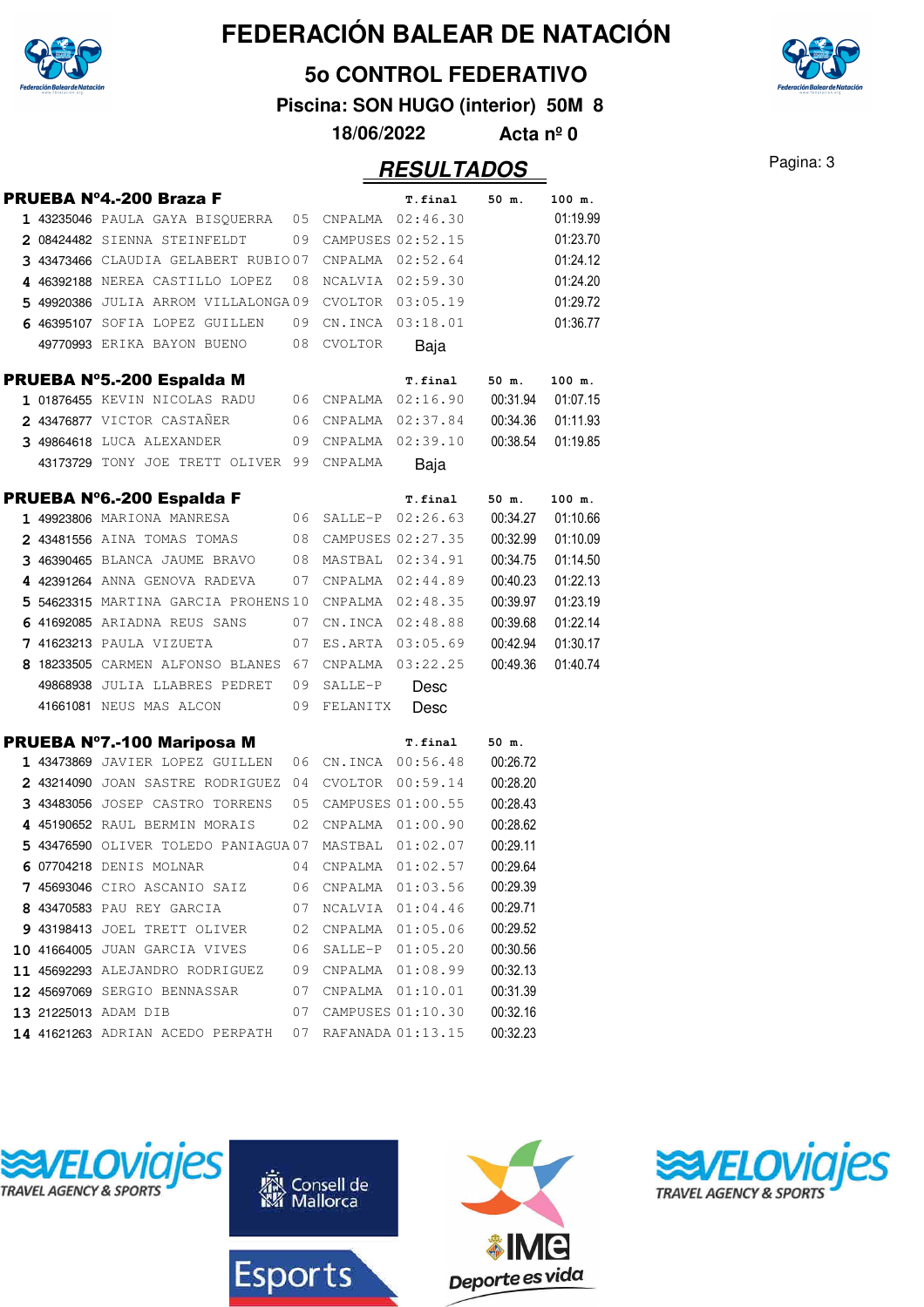

#### **5o CONTROL FEDERATIVO**

**Piscina: SON HUGO (interior) 50M 8**



**18/06/2022 Acta nº 0**

|  | <b>PRUEBA Nº4.-200 Braza F</b>                        |    |                      | <b>T.final</b>       | 50 m.    | 100 m.   |
|--|-------------------------------------------------------|----|----------------------|----------------------|----------|----------|
|  | 1 43235046 PAULA GAYA BISQUERRA 05 CNPALMA 02:46.30   |    |                      |                      |          | 01:19.99 |
|  | 2 08424482 SIENNA STEINFELDT                          |    |                      | 09 CAMPUSES 02:52.15 |          | 01:23.70 |
|  | 3 43473466 CLAUDIA GELABERT RUBIO07                   |    |                      | CNPALMA 02:52.64     |          | 01:24.12 |
|  | 4 46392188 NEREA CASTILLO LOPEZ                       | 08 |                      | NCALVIA 02:59.30     |          | 01:24.20 |
|  | 5 49920386 JULIA ARROM VILLALONGA09                   |    |                      | CVOLTOR 03:05.19     |          | 01:29.72 |
|  | 6 46395107 SOFIA LOPEZ GUILLEN                        | 09 |                      | CN.INCA 03:18.01     |          | 01:36.77 |
|  | 49770993 ERIKA BAYON BUENO                            | 08 | CVOLTOR              | Baja                 |          |          |
|  | PRUEBA Nº5.-200 Espalda M                             |    |                      | <b>T.final</b>       | 50 m.    | 100 m.   |
|  | 1 01876455 KEVIN NICOLAS RADU 06 CNPALMA 02:16.90     |    |                      |                      | 00:31.94 | 01:07.15 |
|  | 2 43476877 VICTOR CASTAÑER                            | 06 |                      | CNPALMA 02:37.84     | 00:34.36 | 01:11.93 |
|  | 3 49864618 LUCA ALEXANDER                             | 09 | CNPALMA 02:39.10     |                      | 00:38.54 | 01:19.85 |
|  | 43173729 TONY JOE TRETT OLIVER 99 CNPALMA             |    |                      | Baja                 |          |          |
|  | PRUEBA Nº6.-200 Espalda F                             |    |                      | T.final              | 50 m.    | 100 m.   |
|  | 1 49923806 MARIONA MANRESA                            |    |                      | 06 SALLE-P 02:26.63  | 00:34.27 | 01:10.66 |
|  | $\overline{08}$<br>2 43481556 AINA TOMAS TOMAS        |    |                      | CAMPUSES 02:27.35    | 00:32.99 | 01:10.09 |
|  | 3 46390465 BLANCA JAUME BRAVO 08                      |    |                      | MASTBAL 02:34.91     | 00:34.75 | 01:14.50 |
|  | 4 42391264 ANNA GENOVA RADEVA                         |    |                      | 07 CNPALMA 02:44.89  | 00:40.23 | 01:22.13 |
|  | 5 54623315 MARTINA GARCIA PROHENS10                   |    |                      | CNPALMA 02:48.35     | 00:39.97 | 01:23.19 |
|  | 6 41692085 ARIADNA REUS SANS<br>$\overline{07}$       |    |                      | CN.INCA 02:48.88     | 00:39.68 | 01:22.14 |
|  | 7 41623213 PAULA VIZUETA                              | 07 |                      | ES.ARTA 03:05.69     | 00:42.94 | 01:30.17 |
|  | 8 18233505 CARMEN ALFONSO BLANES 67                   |    |                      | CNPALMA 03:22.25     | 00:49.36 | 01:40.74 |
|  | 49868938 JULIA LLABRES PEDRET 09                      |    | SALLE-P              | Desc                 |          |          |
|  | 41661081 NEUS MAS ALCON<br>09                         |    | FELANITX             | Desc                 |          |          |
|  | PRUEBA Nº7.-100 Mariposa M                            |    |                      | <b>T.final</b>       | 50 m.    |          |
|  | 1 43473869 JAVIER LOPEZ GUILLEN                       |    |                      | 06 CN.INCA 00:56.48  | 00:26.72 |          |
|  | 2 43214090 JOAN SASTRE RODRIGUEZ 04                   |    | CVOLTOR              | 00:59.14             | 00:28.20 |          |
|  | 3 43483056 JOSEP CASTRO TORRENS 05                    |    |                      | CAMPUSES 01:00.55    | 00:28.43 |          |
|  | 4 45190652 RAUL BERMIN MORAIS                         | 02 |                      | CNPALMA 01:00.90     | 00:28.62 |          |
|  | 5 43476590 OLIVER TOLEDO PANIAGUA 07                  |    |                      | MASTBAL 01:02.07     | 00:29.11 |          |
|  | 6 07704218 DENIS MOLNAR                               | 04 |                      | CNPALMA 01:02.57     | 00:29.64 |          |
|  | 7 45693046 CIRO ASCANIO SAIZ 06 CNPALMA 01:03.56      |    |                      |                      | 00:29.39 |          |
|  | 8 43470583 PAU REY GARCIA                             |    | 07 NCALVIA 01:04.46  |                      | 00:29.71 |          |
|  | 9 43198413 JOEL TRETT OLIVER                          | 02 | CNPALMA 01:05.06     |                      | 00:29.52 |          |
|  | 10 41664005 JUAN GARCIA VIVES                         | 06 |                      | SALLE-P 01:05.20     | 00:30.56 |          |
|  | 11 45692293 ALEJANDRO RODRIGUEZ 09 CNPALMA 01:08.99   |    |                      |                      | 00:32.13 |          |
|  | <b>12 45697069</b> SERGIO BENNASSAR                   | 07 | CNPALMA 01:10.01     |                      | 00:31.39 |          |
|  | 13 21225013 ADAM DIB                                  |    | 07 CAMPUSES 01:10.30 |                      | 00:32.16 |          |
|  | 14 41621263 ADRIAN ACEDO PERPATH 07 RAFANADA 01:13.15 |    |                      |                      | 00:32.23 |          |









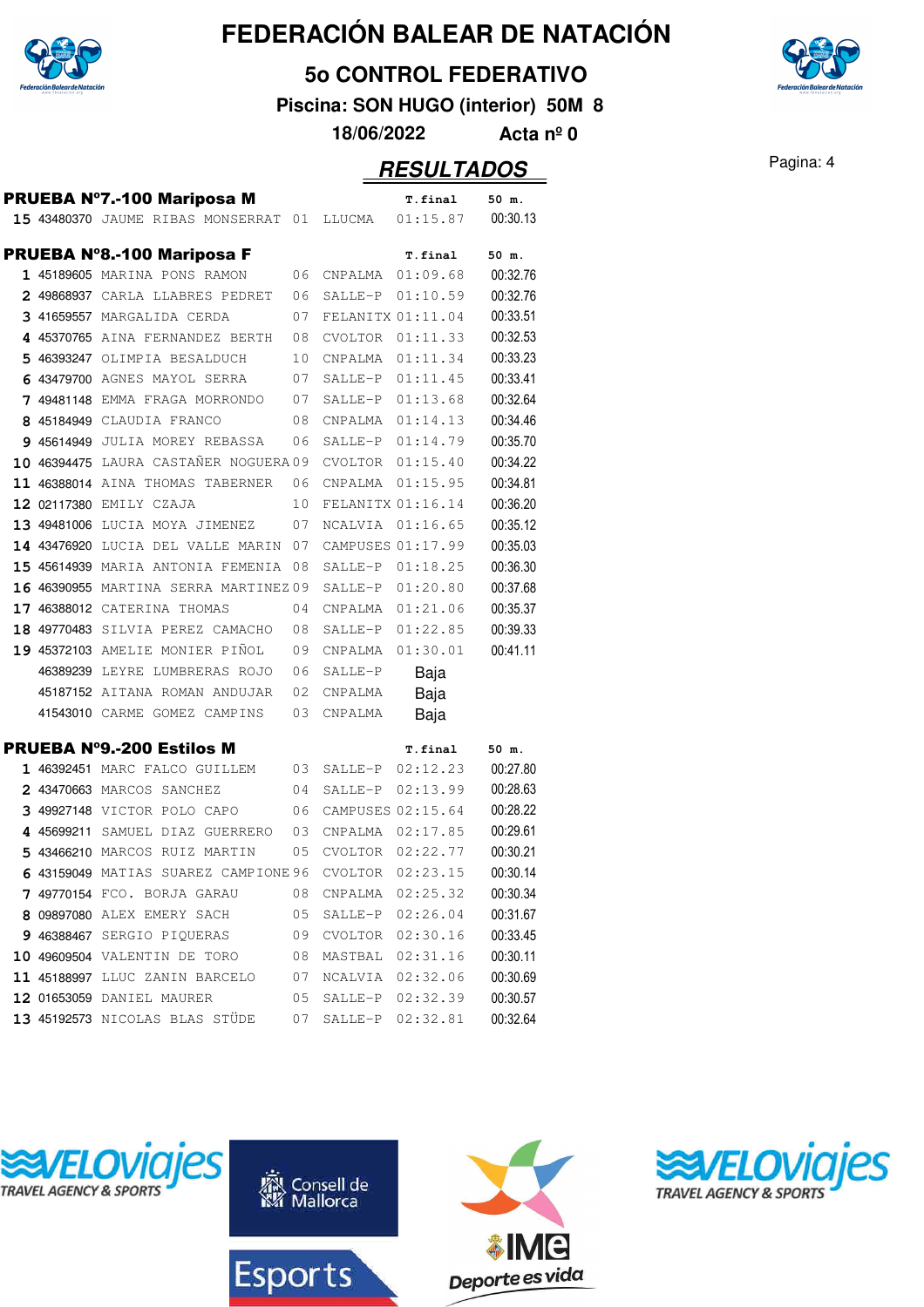

**5o CONTROL FEDERATIVO**

**Piscina: SON HUGO (interior) 50M 8**

**18/06/2022 Acta nº 0**

|  |                                              |    |                   | ,,,,,,,,,,,, |          |
|--|----------------------------------------------|----|-------------------|--------------|----------|
|  | <b>PRUEBA N°7.-100 Mariposa M</b>            |    |                   | T.final      | 50 m.    |
|  | 15 43480370 JAUME RIBAS MONSERRAT 01         |    | LLUCMA            | 01:15.87     | 00:30.13 |
|  |                                              |    |                   |              |          |
|  | <b>PRUEBA N°8.-100 Mariposa F</b>            |    |                   | T.final      | 50 m.    |
|  | 1 45189605 MARINA PONS RAMON                 | 06 | <b>CNPALMA</b>    | 01:09.68     | 00:32.76 |
|  | 2 49868937 CARLA LLABRES PEDRET              | 06 | SALLE-P           | 01:10.59     | 00:32.76 |
|  | 3 41659557 MARGALIDA CERDA                   | 07 | FELANITX 01:11.04 |              | 00:33.51 |
|  | 4 45370765 AINA FERNANDEZ BERTH              | 08 | <b>CVOLTOR</b>    | 01:11.33     | 00:32.53 |
|  | 5 46393247 OLIMPIA BESALDUCH                 | 10 | CNPALMA           | 01:11.34     | 00:33.23 |
|  | 6 43479700 AGNES MAYOL SERRA                 | 07 | SALLE-P           | 01:11.45     | 00:33.41 |
|  | 7 49481148 EMMA FRAGA MORRONDO               | 07 | SALLE-P           | 01:13.68     | 00:32.64 |
|  | 8 45184949 CLAUDIA FRANCO                    | 08 | CNPALMA           | 01:14.13     | 00:34.46 |
|  | 9 45614949 JULIA MOREY REBASSA               | 06 | SALLE-P           | 01:14.79     | 00:35.70 |
|  | 10 46394475 LAURA CASTANER NOGUERA 09        |    | CVOLTOR           | 01:15.40     | 00:34.22 |
|  | 11 46388014 AINA THOMAS TABERNER             | 06 | <b>CNPALMA</b>    | 01:15.95     | 00:34.81 |
|  | 12 02117380 EMILY CZAJA                      | 10 | FELANITX 01:16.14 |              | 00:36.20 |
|  | 13 49481006 LUCIA MOYA JIMENEZ               | 07 | NCALVIA           | 01:16.65     | 00:35.12 |
|  | 14 43476920 LUCIA DEL VALLE MARIN 07         |    | CAMPUSES 01:17.99 |              | 00:35.03 |
|  | 15 45614939 MARIA ANTONIA FEMENIA 08         |    | SALLE-P           | 01:18.25     | 00:36.30 |
|  | 16 46390955 MARTINA SERRA MARTINEZ 09        |    | SALLE-P           | 01:20.80     | 00:37.68 |
|  | 17 46388012 CATERINA THOMAS                  | 04 | CNPALMA           | 01:21.06     | 00:35.37 |
|  | 18 49770483 SILVIA PEREZ CAMACHO             | 08 | SALLE-P           | 01:22.85     | 00:39.33 |
|  | 19 45372103 AMELIE MONIER PIÑOL              | 09 | CNPALMA           | 01:30.01     | 00:41.11 |
|  | 46389239 LEYRE LUMBRERAS ROJO                | 06 | SALLE-P           | Baja         |          |
|  | 45187152 AITANA ROMAN ANDUJAR                | 02 | CNPALMA           | Baja         |          |
|  | 41543010 CARME GOMEZ CAMPINS                 | 03 | CNPALMA           | Baja         |          |
|  |                                              |    |                   |              |          |
|  | <b>PRUEBA N°9.-200 Estilos M</b>             |    |                   | T.final      | 50 m.    |
|  | 1 46392451 MARC FALCO GUILLEM                | 03 | SALLE-P           | 02:12.23     | 00:27.80 |
|  | 2 43470663 MARCOS SANCHEZ                    | 04 | SALLE-P           | 02:13.99     | 00:28.63 |
|  | 3 49927148 VICTOR POLO CAPO                  | 06 | CAMPUSES 02:15.64 |              | 00:28.22 |
|  | 4 45699211 SAMUEL DIAZ GUERRERO              | 03 | CNPALMA           | 02:17.85     | 00:29.61 |
|  | 5 43466210 MARCOS RUIZ MARTIN                | 05 | CVOLTOR           | 02:22.77     | 00:30.21 |
|  | 6 43159049 MATIAS SUAREZ CAMPIONE 96 CVOLTOR |    |                   | 02:23.15     | 00:30.14 |
|  | 7 49770154 FCO. BORJA GARAU                  | 08 | CNPALMA           | 02:25.32     | 00:30.34 |
|  | 8 09897080 ALEX EMERY SACH                   | 05 | SALLE-P           | 02:26.04     | 00:31.67 |
|  | 9 46388467 SERGIO PIQUERAS                   | 09 | CVOLTOR           | 02:30.16     | 00:33.45 |
|  | 10 49609504 VALENTIN DE TORO                 | 08 | MASTBAL           | 02:31.16     | 00:30.11 |
|  | 11 45188997 LLUC ZANIN BARCELO               | 07 | NCALVIA           | 02:32.06     | 00:30.69 |
|  | 12 01653059 DANIEL MAURER                    | 05 | SALLE-P           | 02:32.39     | 00:30.57 |
|  | 13 45192573 NICOLAS BLAS STÜDE               | 07 | SALLE-P           | 02:32.81     | 00:32.64 |









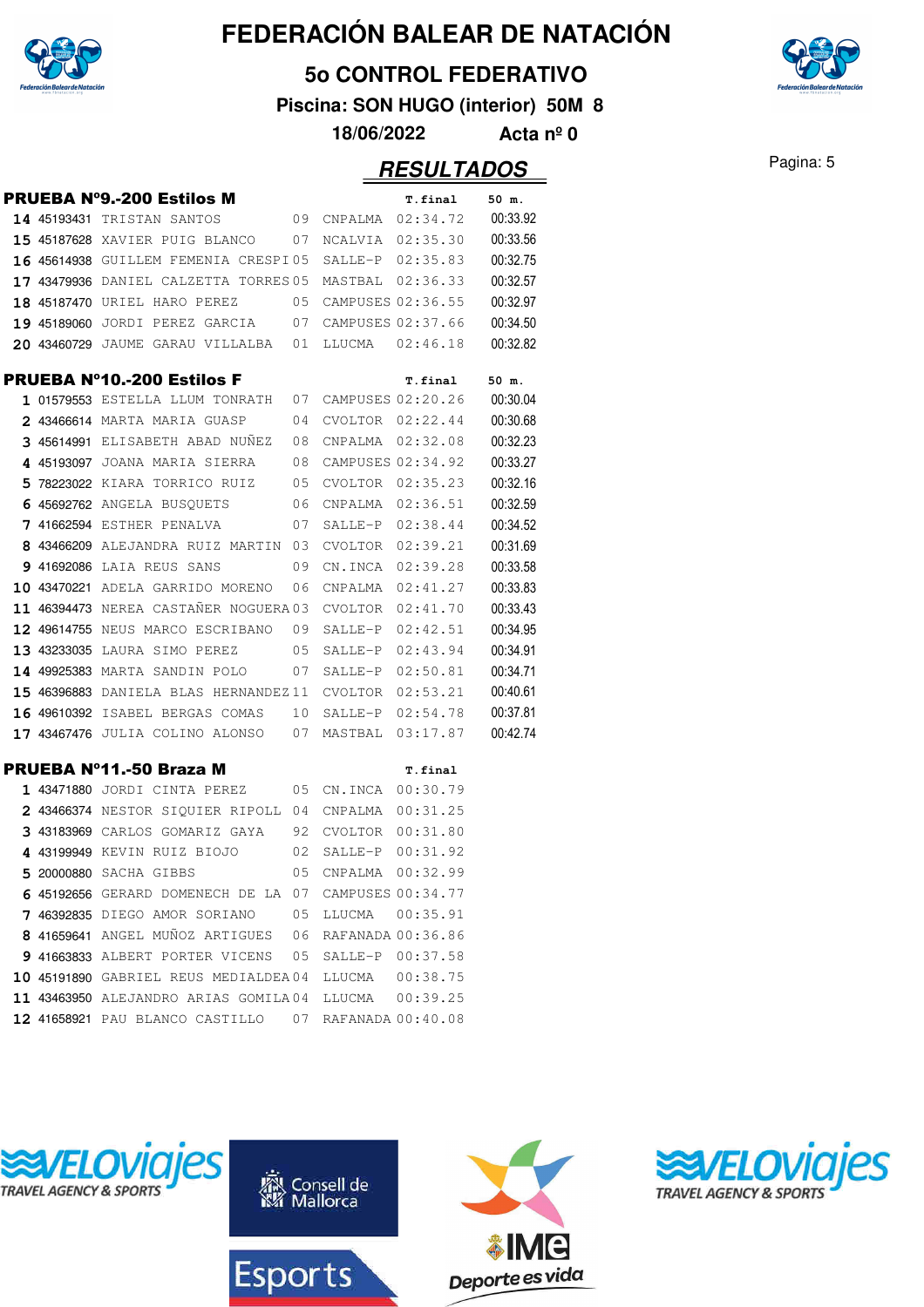

#### **5o CONTROL FEDERATIVO**

**Piscina: SON HUGO (interior) 50M 8**

**18/06/2022 Acta nº 0**

|  | <b>PRUEBA Nº9.-200 Estilos M</b>                        |    |         | T.final           | 50 m.    |
|--|---------------------------------------------------------|----|---------|-------------------|----------|
|  | 14 45193431 TRISTAN SANTOS<br>09                        |    |         | CNPALMA 02:34.72  | 00:33.92 |
|  | <b>15 45187628</b> XAVIER PUIG BLANCO 07                |    |         | NCALVIA 02:35.30  | 00:33.56 |
|  | 16 45614938 GUILLEM FEMENIA CRESPI05 SALLE-P 02:35.83   |    |         |                   | 00:32.75 |
|  | $17$ 43479936 DANIEL CALZETTA TORRES05 MASTBAL 02:36.33 |    |         |                   | 00:32.57 |
|  | 18 45187470 URIEL HARO PEREZ<br>05                      |    |         | CAMPUSES 02:36.55 | 00:32.97 |
|  | 19 45189060 JORDI PEREZ GARCIA 07                       |    |         | CAMPUSES 02:37.66 | 00:34.50 |
|  | 20 43460729 JAUME GARAU VILLALBA 01                     |    |         | LLUCMA 02:46.18   | 00:32.82 |
|  | <b>PRUEBA Nº10.-200 Estilos F</b>                       |    |         | T.final           | 50 m.    |
|  | 1 01579553 ESTELLA LLUM TONRATH 07 CAMPUSES 02:20.26    |    |         |                   | 00:30.04 |
|  | 2 43466614 MARTA MARIA GUASP                            | 04 |         | CVOLTOR 02:22.44  | 00:30.68 |
|  | 3 45614991 ELISABETH ABAD NUÑEZ                         | 08 |         | CNPALMA 02:32.08  | 00:32.23 |
|  | 4 45193097 JOANA MARIA SIERRA                           | 08 |         | CAMPUSES 02:34.92 | 00:33.27 |
|  | 05<br>5 78223022 KIARA TORRICO RUIZ                     |    |         | CVOLTOR 02:35.23  | 00:32.16 |
|  | 6 45692762 ANGELA BUSOUETS                              | 06 |         | CNPALMA 02:36.51  | 00:32.59 |
|  | 7 41662594 ESTHER PENALVA<br>$\sim$ 07                  |    | SALLE-P | 02:38.44          | 00:34.52 |
|  | 8 43466209 ALEJANDRA RUIZ MARTIN 03                     |    | CVOLTOR | 02:39.21          | 00:31.69 |
|  | 9 41692086 LAIA REUS SANS                               | 09 | CN.INCA | 02:39.28          | 00:33.58 |
|  | 10 43470221 ADELA GARRIDO MORENO                        | 06 | CNPALMA | 02:41.27          | 00:33.83 |
|  | 11 46394473 NEREA CASTAÑER NOGUERA 03                   |    | CVOLTOR | 02:41.70          | 00:33.43 |
|  | 12 49614755 NEUS MARCO ESCRIBANO                        | 09 | SALLE-P | 02:42.51          | 00:34.95 |
|  | 13 43233035 LAURA SIMO PEREZ<br>05                      |    | SALLE-P | 02:43.94          | 00:34.91 |
|  | 14 49925383 MARTA SANDIN POLO                           | 07 | SALLE-P | 02:50.81          | 00:34.71 |
|  | <b>15 46396883</b> DANIELA BLAS HERNANDEZ11             |    | CVOLTOR | 02:53.21          | 00:40.61 |
|  | <b>16 49610392</b> ISABEL BERGAS COMAS                  | 10 | SALLE-P | 02:54.78          | 00:37.81 |
|  | 17 43467476 JULIA COLINO ALONSO 07                      |    | MASTBAL | 03:17.87          | 00:42.74 |
|  | <b>PRUEBA Nº11.-50 Braza M</b>                          |    |         | T.final           |          |
|  | 1 43471880 JORDI CINTA PEREZ                            | 05 | CN.INCA | 00:30.79          |          |
|  | 2 43466374 NESTOR SIQUIER RIPOLL 04                     |    | CNPALMA | 00:31.25          |          |
|  | 3 43183969 CARLOS GOMARIZ GAYA                          | 92 | CVOLTOR | 00:31.80          |          |
|  | 4 43199949 KEVIN RUIZ BIOJO                             | 02 | SALLE-P | 00:31.92          |          |
|  | 5 20000880 SACHA GIBBS                                  | 05 | CNPALMA | 00:32.99          |          |
|  | 6 45192656 GERARD DOMENECH DE LA 07                     |    |         | CAMPUSES 00:34.77 |          |
|  | 7 46392835 DIEGO AMOR SORIANO                           | 05 | LLUCMA  | 00:35.91          |          |
|  | 8 41659641 ANGEL MUÑOZ ARTIGUES                         | 06 |         | RAFANADA 00:36.86 |          |
|  | 9 41663833 ALBERT PORTER VICENS                         | 05 |         | SALLE-P 00:37.58  |          |
|  | 10 45191890 GABRIEL REUS MEDIALDEA04                    |    |         | LLUCMA  00:38.75  |          |
|  | 11 43463950 ALEJANDRO ARIAS GOMILA04                    |    | LLUCMA  | 00:39.25          |          |
|  | 12 41658921 PAU BLANCO CASTILLO                         | 07 |         | RAFANADA 00:40.08 |          |









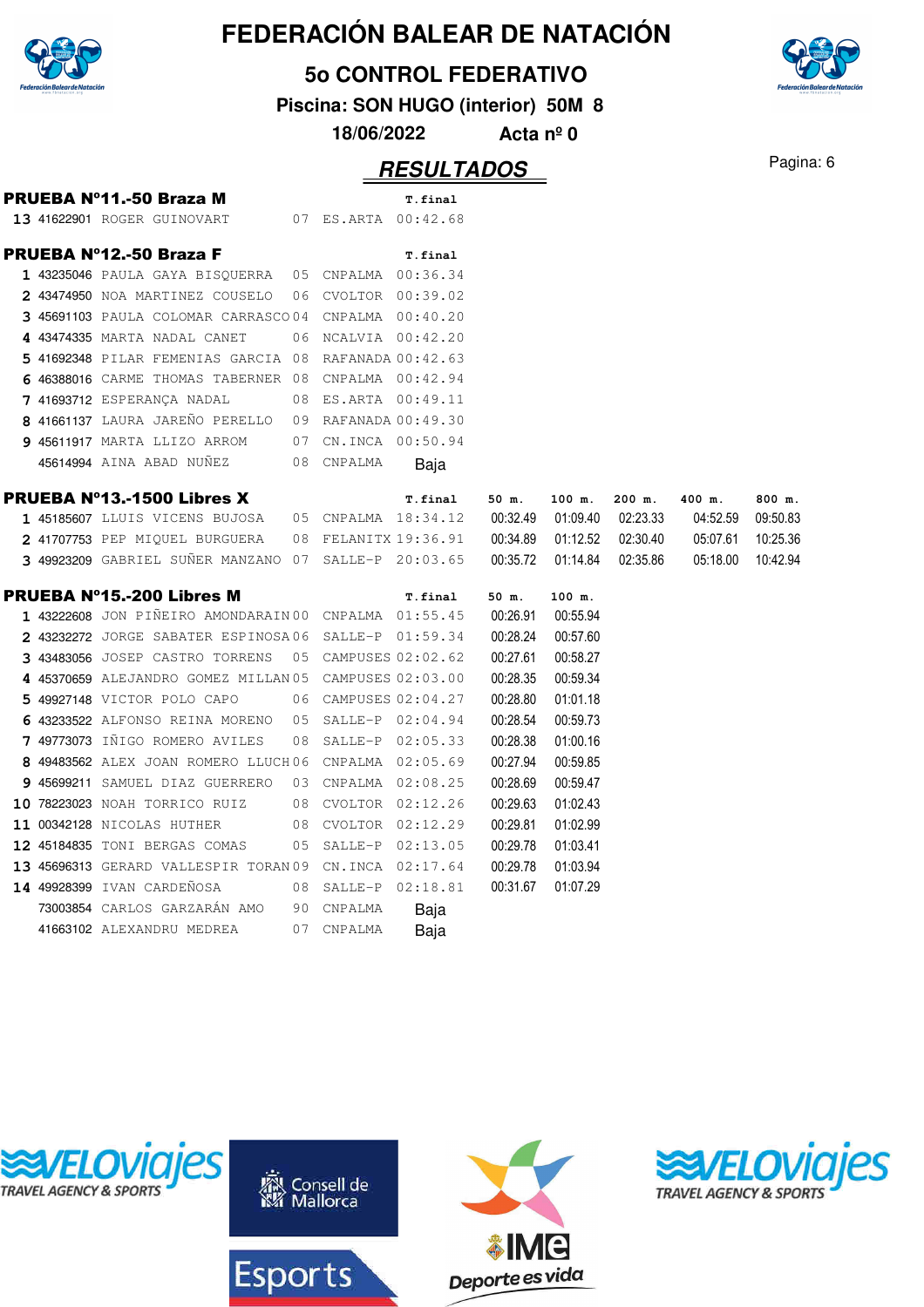

**5o CONTROL FEDERATIVO**

**Piscina: SON HUGO (interior) 50M 8**

**18/06/2022 Acta nº 0**

|  | PRUEBA Nº11.-50 Braza M                                |    |                      | T.final              |          |          |          |          |          |
|--|--------------------------------------------------------|----|----------------------|----------------------|----------|----------|----------|----------|----------|
|  | 13 41622901 ROGER GUINOVART                            |    | 07 ES.ARTA 00:42.68  |                      |          |          |          |          |          |
|  | <b>PRUEBA N°12.-50 Braza F</b>                         |    |                      | T.final              |          |          |          |          |          |
|  | 1 43235046 PAULA GAYA BISQUERRA 05 CNPALMA 00:36.34    |    |                      |                      |          |          |          |          |          |
|  | 2 43474950 NOA MARTINEZ COUSELO                        | 06 | CVOLTOR 00:39.02     |                      |          |          |          |          |          |
|  | 3 45691103 PAULA COLOMAR CARRASCO04                    |    |                      | CNPALMA  00:40.20    |          |          |          |          |          |
|  | 4 43474335 MARTA NADAL CANET                           |    | 06 NCALVIA 00:42.20  |                      |          |          |          |          |          |
|  | 5 41692348 PILAR FEMENIAS GARCIA 08 RAFANADA 00:42.63  |    |                      |                      |          |          |          |          |          |
|  | 6 46388016 CARME THOMAS TABERNER 08                    |    |                      | CNPALMA 00:42.94     |          |          |          |          |          |
|  | 7 41693712 ESPERANÇA NADAL                             |    | 08 ES.ARTA 00:49.11  |                      |          |          |          |          |          |
|  | 8 41661137 LAURA JAREÑO PERELLO                        |    | 09 RAFANADA 00:49.30 |                      |          |          |          |          |          |
|  | 9 45611917 MARTA LLIZO ARROM                           |    | 07 CN.INCA 00:50.94  |                      |          |          |          |          |          |
|  | 45614994 AINA ABAD NUÑEZ                               |    | 08 CNPALMA           | Baja                 |          |          |          |          |          |
|  | <b>PRUEBA Nº13.-1500 Libres X</b>                      |    |                      | T.final              | 50 m.    | 100 m.   | 200 m.   | 400 m.   | 800 m.   |
|  | 1 45185607 LLUIS VICENS BUJOSA                         |    | 05 CNPALMA 18:34.12  |                      | 00:32.49 | 01:09.40 | 02:23.33 | 04:52.59 | 09:50.83 |
|  | 2 41707753 PEP MIQUEL BURGUERA                         |    |                      | 08 FELANITX 19:36.91 | 00:34.89 | 01:12.52 | 02:30.40 | 05:07.61 | 10:25.36 |
|  | 3 49923209 GABRIEL SUÑER MANZANO 07 SALLE-P 20:03.65   |    |                      |                      | 00:35.72 | 01:14.84 | 02:35.86 | 05:18.00 | 10:42.94 |
|  | PRUEBA N°15.-200 Libres M                              |    |                      | T.final              | 50 m.    | 100 m.   |          |          |          |
|  | 1 43222608 JON PIÑEIRO AMONDARAIN 00 CNPALMA 01:55.45  |    |                      |                      | 00:26.91 | 00:55.94 |          |          |          |
|  | 2 43232272 JORGE SABATER ESPINOSA06 SALLE-P 01:59.34   |    |                      |                      | 00:28.24 | 00:57.60 |          |          |          |
|  | 3 43483056 JOSEP CASTRO TORRENS                        |    | 05 CAMPUSES 02:02.62 |                      | 00:27.61 | 00:58.27 |          |          |          |
|  | 4 45370659 ALEJANDRO GOMEZ MILLAN 05 CAMPUSES 02:03.00 |    |                      |                      | 00:28.35 | 00:59.34 |          |          |          |
|  | 5 49927148 VICTOR POLO CAPO                            |    | 06 CAMPUSES 02:04.27 |                      | 00:28.80 | 01:01.18 |          |          |          |
|  | 6 43233522 ALFONSO REINA MORENO                        |    | 05 SALLE-P 02:04.94  |                      | 00:28.54 | 00:59.73 |          |          |          |
|  | 7 49773073 IÑIGO ROMERO AVILES                         | 08 | SALLE-P 02:05.33     |                      | 00:28.38 | 01:00.16 |          |          |          |
|  | 8 49483562 ALEX JOAN ROMERO LLUCH06                    |    |                      | CNPALMA 02:05.69     | 00:27.94 | 00:59.85 |          |          |          |
|  | 9 45699211 SAMUEL DIAZ GUERRERO                        | 03 | CNPALMA 02:08.25     |                      | 00:28.69 | 00:59.47 |          |          |          |
|  | 10 78223023 NOAH TORRICO RUIZ                          | 08 | CVOLTOR 02:12.26     |                      | 00:29.63 | 01:02.43 |          |          |          |
|  | 11 00342128 NICOLAS HUTHER                             |    | 08 CVOLTOR 02:12.29  |                      | 00:29.81 | 01:02.99 |          |          |          |
|  | 12 45184835 TONI BERGAS COMAS                          | 05 | SALLE-P 02:13.05     |                      | 00:29.78 | 01:03.41 |          |          |          |
|  | 13 45696313 GERARD VALLESPIR TORAN 09 CN.INCA 02:17.64 |    |                      |                      | 00:29.78 | 01:03.94 |          |          |          |
|  | 14 49928399 IVAN CARDEÑOSA                             |    | 08 SALLE-P 02:18.81  |                      | 00:31.67 | 01:07.29 |          |          |          |
|  | 73003854 CARLOS GARZARÁN AMO                           | 90 | CNPALMA              | Baja                 |          |          |          |          |          |
|  | 41663102 ALEXANDRU MEDREA                              | 07 | CNPALMA              | Baja                 |          |          |          |          |          |
|  |                                                        |    |                      |                      |          |          |          |          |          |









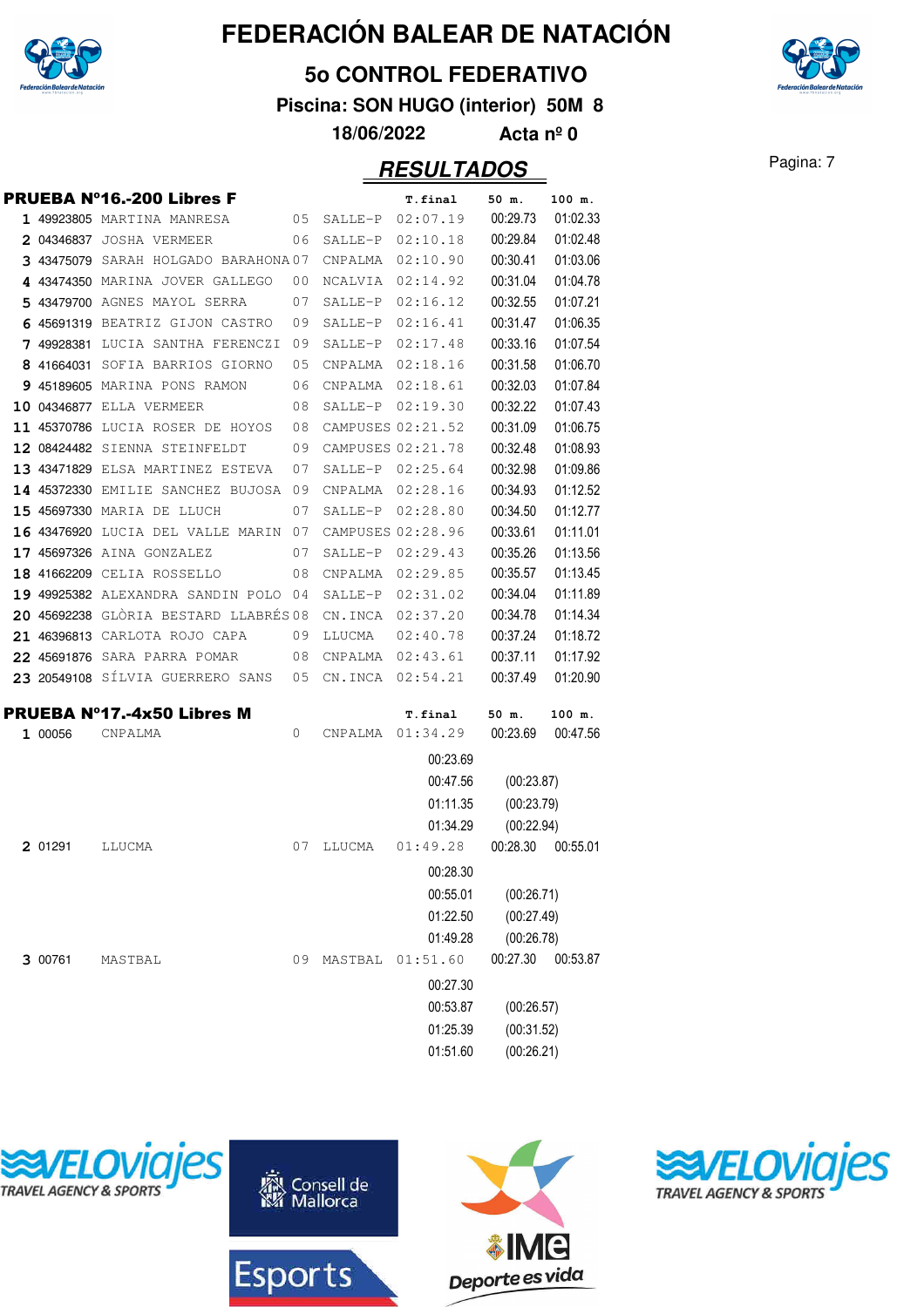

#### **5o CONTROL FEDERATIVO**

**Piscina: SON HUGO (interior) 50M 8**

**18/06/2022 Acta nº 0**

|            | PRUEBA N°16.-200 Libres F             |      |         | T.final           | 50 m.      | 100 m.   |
|------------|---------------------------------------|------|---------|-------------------|------------|----------|
|            | 1 49923805 MARTINA MANRESA            | 05   | SALLE-P | 02:07.19          | 00:29.73   | 01:02.33 |
|            | 2 04346837 JOSHA VERMEER              | 06   | SALLE-P | 02:10.18          | 00:29.84   | 01:02.48 |
|            | 3 43475079 SARAH HOLGADO BARAHONA 07  |      | CNPALMA | 02:10.90          | 00:30.41   | 01:03.06 |
|            | 4 43474350 MARINA JOVER GALLEGO       | 00   | NCALVIA | 02:14.92          | 00:31.04   | 01:04.78 |
|            | 5 43479700 AGNES MAYOL SERRA          | 07   | SALLE-P | 02:16.12          | 00:32.55   | 01:07.21 |
|            | 6 45691319 BEATRIZ GIJON CASTRO       | 09   | SALLE-P | 02:16.41          | 00:31.47   | 01:06.35 |
|            | 7 49928381 LUCIA SANTHA FERENCZI      | - 09 | SALLE-P | 02:17.48          | 00:33.16   | 01:07.54 |
| 8 41664031 | SOFIA BARRIOS GIORNO                  | 05   | CNPALMA | 02:18.16          | 00:31.58   | 01:06.70 |
|            | 9 45189605 MARINA PONS RAMON          | 06   | CNPALMA | 02:18.61          | 00:32.03   | 01:07.84 |
|            | 10 04346877 ELLA VERMEER              | 08   | SALLE-P | 02:19.30          | 00:32.22   | 01:07.43 |
|            | 11 45370786 LUCIA ROSER DE HOYOS      | 08   |         | CAMPUSES 02:21.52 | 00:31.09   | 01:06.75 |
|            | 12 08424482 SIENNA STEINFELDT         | 09   |         | CAMPUSES 02:21.78 | 00:32.48   | 01:08.93 |
|            | 13 43471829 ELSA MARTINEZ ESTEVA      | 07   |         | SALLE-P 02:25.64  | 00:32.98   | 01:09.86 |
|            | 14 45372330 EMILIE SANCHEZ BUJOSA 09  |      | CNPALMA | 02:28.16          | 00:34.93   | 01:12.52 |
|            | 15 45697330 MARIA DE LLUCH            | 07   | SALLE-P | 02:28.80          | 00:34.50   | 01:12.77 |
|            | 16 43476920 LUCIA DEL VALLE MARIN 07  |      |         | CAMPUSES 02:28.96 | 00:33.61   | 01:11.01 |
|            | 17 45697326 AINA GONZALEZ             | 07   | SALLE-P | 02:29.43          | 00:35.26   | 01:13.56 |
|            | 18 41662209 CELIA ROSSELLO            | 08   | CNPALMA | 02:29.85          | 00:35.57   | 01:13.45 |
|            | 19 49925382 ALEXANDRA SANDIN POLO 04  |      | SALLE-P | 02:31.02          | 00:34.04   | 01:11.89 |
|            | 20 45692238 GLÒRIA BESTARD LLABRÉS 08 |      | CN.INCA | 02:37.20          | 00:34.78   | 01:14.34 |
|            | 21 46396813 CARLOTA ROJO CAPA         | 09   | LLUCMA  | 02:40.78          | 00:37.24   | 01:18.72 |
|            | 22 45691876 SARA PARRA POMAR          | 08   | CNPALMA | 02:43.61          | 00:37.11   | 01:17.92 |
|            | 23 20549108 SÍLVIA GUERRERO SANS      | 05   | CN.INCA | 02:54.21          | 00:37.49   | 01:20.90 |
|            |                                       |      |         |                   |            |          |
|            | PRUEBA N°17.-4x50 Libres M            |      |         | T.final           | 50 m.      | 100 m.   |
| 1 00056    | CNPALMA                               | 0    | CNPALMA | 01:34.29          | 00:23.69   | 00:47.56 |
|            |                                       |      |         | 00:23.69          |            |          |
|            |                                       |      |         | 00:47.56          | (00:23.87) |          |
|            |                                       |      |         | 01:11.35          | (00:23.79) |          |
|            |                                       |      |         | 01:34.29          | (00:22.94) |          |
| 2 01291    | LLUCMA                                | 07   | LLUCMA  | 01:49.28          | 00:28.30   | 00:55.01 |
|            |                                       |      |         | 00:28.30          |            |          |
|            |                                       |      |         | 00:55.01          | (00:26.71) |          |
|            |                                       |      |         | 01:22.50          | (00:27.49) |          |
|            |                                       |      |         | 01:49.28          | (00:26.78) |          |
| 3 00761    | MASTBAL                               | 09   | MASTBAL | 01:51.60          | 00:27.30   | 00:53.87 |
|            |                                       |      |         | 00:27.30          |            |          |
|            |                                       |      |         | 00:53.87          |            |          |
|            |                                       |      |         |                   | (00:26.57) |          |
|            |                                       |      |         | 01:25.39          | (00:31.52) |          |
|            |                                       |      |         | 01:51.60          | (00:26.21) |          |









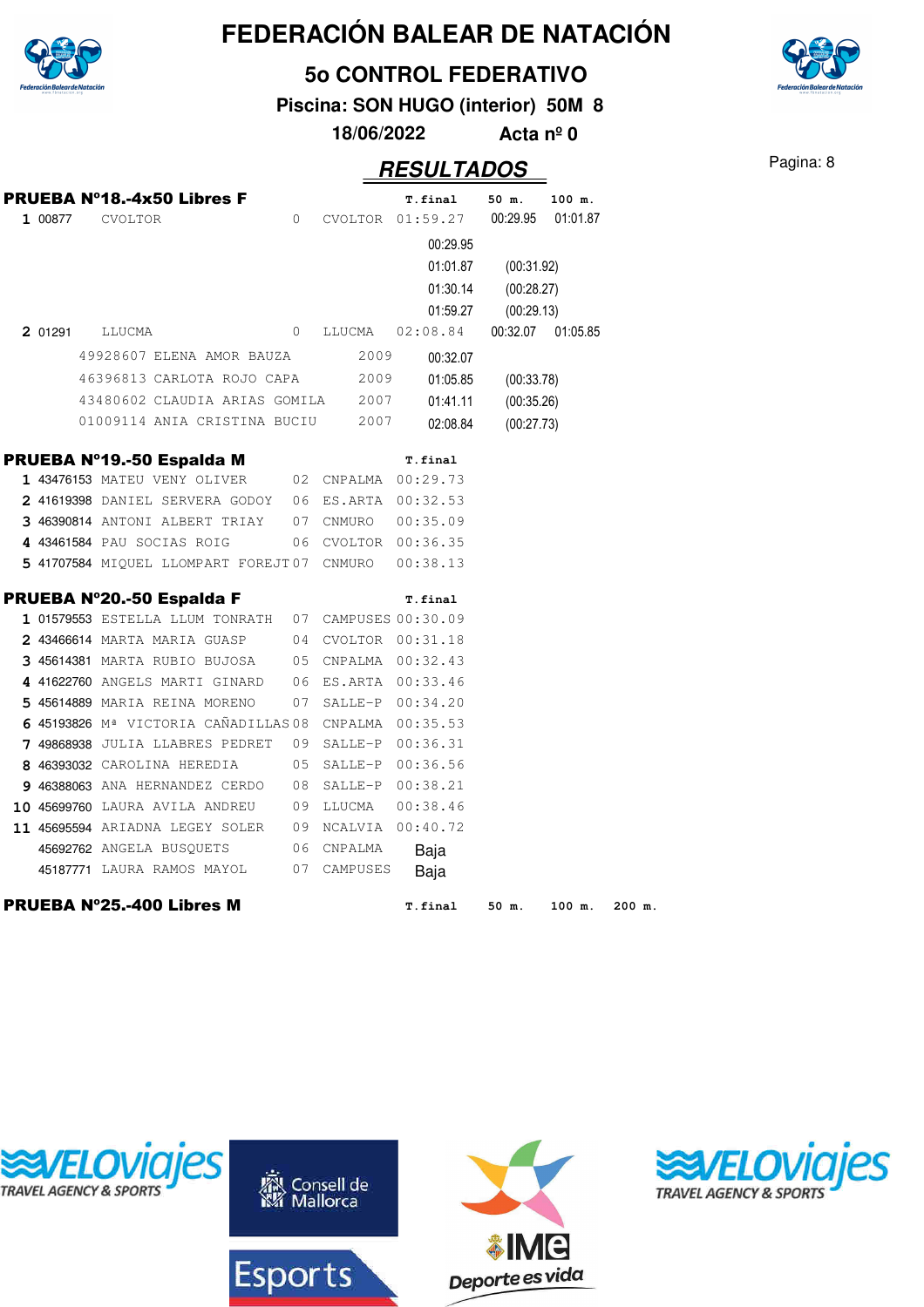

**5o CONTROL FEDERATIVO**

**Piscina: SON HUGO (interior) 50M 8**

**18/06/2022 Acta nº 0**

### Pagina: 8 **RESULTADOS**

| 1 00877 | <b>PRUEBA Nº18.-4x50 Libres F</b><br>CVOLTOR          | $\circ$      |                     | T.final<br>CVOLTOR 01:59.27                  | 50 m.                                  | 100 m.<br>00:29.95 01:01.87 |
|---------|-------------------------------------------------------|--------------|---------------------|----------------------------------------------|----------------------------------------|-----------------------------|
|         |                                                       |              |                     | 00:29.95<br>01:01.87<br>01:30.14<br>01:59.27 | (00:31.92)<br>(00:28.27)<br>(00:29.13) |                             |
| 2 01291 | LLUCMA                                                | $\mathbf{0}$ | LLUCMA              | 02:08.84                                     |                                        | 00:32.07 01:05.85           |
|         | 49928607 ELENA AMOR BAUZA                             |              | 2009                | 00:32.07                                     |                                        |                             |
|         | 46396813 CARLOTA ROJO CAPA                            |              | 2009                | 01:05.85                                     | (00:33.78)                             |                             |
|         | 43480602 CLAUDIA ARIAS GOMILA 2007                    |              |                     | 01:41.11                                     | (00:35.26)                             |                             |
|         | 01009114 ANIA CRISTINA BUCIU                          |              | 2007                | 02:08.84                                     | (00:27.73)                             |                             |
|         | PRUEBA Nº19.-50 Espalda M                             |              |                     | T.final                                      |                                        |                             |
|         | 1 43476153 MATEU VENY OLIVER                          |              | 02 CNPALMA 00:29.73 |                                              |                                        |                             |
|         | 2 41619398 DANIEL SERVERA GODOY 06 ES.ARTA 00:32.53   |              |                     |                                              |                                        |                             |
|         | 3 46390814 ANTONI ALBERT TRIAY 07 CNMURO              |              |                     | 00:35.09                                     |                                        |                             |
|         | 4 43461584 PAU SOCIAS ROIG                            |              | 06 CVOLTOR 00:36.35 |                                              |                                        |                             |
|         | 5 41707584 MIQUEL LLOMPART FOREJT07 CNMURO            |              |                     | 00:38.13                                     |                                        |                             |
|         | PRUEBA Nº20.-50 Espalda F                             |              |                     | T.final                                      |                                        |                             |
|         | 1 01579553 ESTELLA LLUM TONRATH 07 CAMPUSES 00:30.09  |              |                     |                                              |                                        |                             |
|         | 2 43466614 MARTA MARIA GUASP 04 CVOLTOR 00:31.18      |              |                     |                                              |                                        |                             |
|         | 3 45614381 MARTA RUBIO BUJOSA                         |              | 05 CNPALMA 00:32.43 |                                              |                                        |                             |
|         | 4 41622760 ANGELS MARTI GINARD                        |              | 06 ES.ARTA 00:33.46 |                                              |                                        |                             |
|         | 5 45614889 MARIA REINA MORENO                         |              | 07 SALLE-P 00:34.20 |                                              |                                        |                             |
|         | 6 45193826 Mª VICTORIA CAÑADILLAS 08 CNPALMA 00:35.53 |              |                     |                                              |                                        |                             |
|         | 7 49868938 JULIA LLABRES PEDRET                       |              | 09 SALLE-P 00:36.31 |                                              |                                        |                             |
|         | 8 46393032 CAROLINA HEREDIA                           |              | 05 SALLE-P 00:36.56 |                                              |                                        |                             |
|         | 9 46388063 ANA HERNANDEZ CERDO                        |              | 08 SALLE-P 00:38.21 |                                              |                                        |                             |
|         | 10 45699760 LAURA AVILA ANDREU 09 LLUCMA              |              |                     | 00:38.46                                     |                                        |                             |
|         | 11 45695594 ARIADNA LEGEY SOLER                       |              | 09 NCALVIA 00:40.72 |                                              |                                        |                             |
|         | 45692762 ANGELA BUSQUETS                              | 06           | CNPALMA             | Baja                                         |                                        |                             |
|         | 45187771 LAURA RAMOS MAYOL                            |              | 07 CAMPUSES         | Baja                                         |                                        |                             |
|         | PRUEBA Nº25.-400 Libres M                             |              |                     | T.final                                      | 50 m.                                  | 100 m.<br>200 m.            |









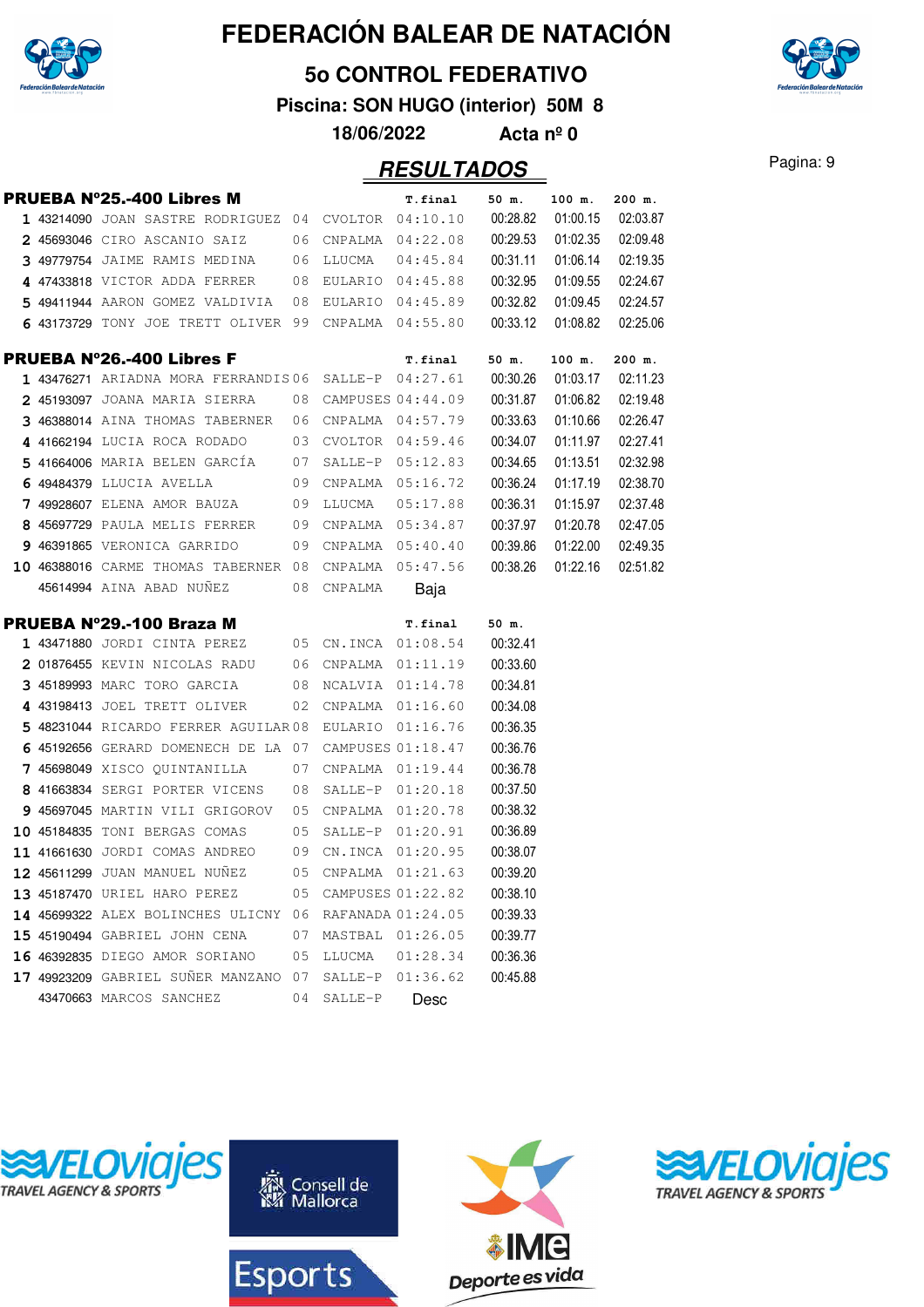

#### **5o CONTROL FEDERATIVO**

**Piscina: SON HUGO (interior) 50M 8**

**18/06/2022 Acta nº 0**

|  | PRUEBA N°25.-400 Libres M                                     |    |                   | T.final              | 50 m.    | 100 m.   | 200 m.   |
|--|---------------------------------------------------------------|----|-------------------|----------------------|----------|----------|----------|
|  | 1 43214090 JOAN SASTRE RODRIGUEZ 04 CVOLTOR 04:10.10 00:28.82 |    |                   |                      |          | 01:00.15 | 02:03.87 |
|  | 2 45693046 CIRO ASCANIO SAIZ 06 CNPALMA 04:22.08              |    |                   |                      | 00:29.53 | 01:02.35 | 02:09.48 |
|  | 3 49779754 JAIME RAMIS MEDINA 06 LLUCMA 04:45.84              |    |                   |                      | 00:31.11 | 01:06.14 | 02:19.35 |
|  | 4 47433818 VICTOR ADDA FERRER 08 EULARIO 04:45.88             |    |                   |                      | 00:32.95 | 01:09.55 | 02:24.67 |
|  | 5 49411944 AARON GOMEZ VALDIVIA 08 EULARIO 04:45.89           |    |                   |                      | 00:32.82 | 01:09.45 | 02:24.57 |
|  | 6 43173729 TONY JOE TRETT OLIVER 99 CNPALMA 04:55.80          |    |                   |                      | 00:33.12 | 01:08.82 | 02:25.06 |
|  | <b>PRUEBA N°26.-400 Libres F</b>                              |    |                   | T.final              | 50 m.    | 100 m.   | 200 m.   |
|  | $143476271$ ariadna mora ferrandis06 salle-p 04:27.61         |    |                   |                      | 00:30.26 | 01:03.17 | 02:11.23 |
|  | 2 45193097 JOANA MARIA SIERRA 08 CAMPUSES 04:44.09            |    |                   |                      | 00:31.87 | 01:06.82 | 02:19.48 |
|  | 3 46388014 AINA THOMAS TABERNER 06 CNPALMA 04:57.79           |    |                   |                      | 00:33.63 | 01:10.66 | 02:26.47 |
|  | 4 41662194 LUCIA ROCA RODADO 03 CVOLTOR 04:59.46              |    |                   |                      | 00:34.07 | 01:11.97 | 02:27.41 |
|  | 5 41664006 MARIA BELEN GARCÍA 07 SALLE-P 05:12.83             |    |                   |                      | 00:34.65 | 01:13.51 | 02:32.98 |
|  | 6 49484379 LLUCIA AVELLA 09 CNPALMA 05:16.72                  |    |                   |                      | 00:36.24 | 01:17.19 | 02:38.70 |
|  | 7 49928607 ELENA AMOR BAUZA 09 LLUCMA 05:17.88                |    |                   |                      | 00:36.31 | 01:15.97 | 02:37.48 |
|  | 8 45697729 PAULA MELIS FERRER 09 CNPALMA 05:34.87             |    |                   |                      | 00:37.97 | 01:20.78 | 02:47.05 |
|  | 9 46391865 VERONICA GARRIDO<br>09                             |    |                   | CNPALMA 05:40.40     | 00:39.86 | 01:22.00 | 02:49.35 |
|  | 10 46388016 CARME THOMAS TABERNER 08 CNPALMA 05:47.56         |    |                   |                      | 00:38.26 | 01:22.16 | 02:51.82 |
|  | 45614994 AINA ABAD NUÑEZ 08 CNPALMA                           |    |                   | Baja                 |          |          |          |
|  |                                                               |    |                   |                      |          |          |          |
|  | PRUEBA N°29.-100 Braza M                                      |    |                   | T.final              | 50 m.    |          |          |
|  | 1 43471880 JORDI CINTA PEREZ 05 CN.INCA 01:08.54              |    |                   |                      | 00:32.41 |          |          |
|  | $2$ 01876455 KEVIN NICOLAS RADU 06 CNPALMA 01:11.19           |    |                   |                      | 00:33.60 |          |          |
|  | 3 45189993 MARC TORO GARCIA 08 NCALVIA 01:14.78               |    |                   |                      | 00:34.81 |          |          |
|  | $4$ 43198413 JOEL TRETT OLIVER $12$ CNPALMA $01:16.60$        |    |                   |                      | 00:34.08 |          |          |
|  | 5 48231044 RICARDO FERRER AGUILAR08 EULARIO 01:16.76          |    |                   |                      | 00:36.35 |          |          |
|  | 6 45192656 GERARD DOMENECH DE LA 07 CAMPUSES 01:18.47         |    |                   |                      | 00:36.76 |          |          |
|  | 7 45698049 XISCO QUINTANILLA 07                               |    |                   | $CNPALMA$ $01:19.44$ | 00:36.78 |          |          |
|  | 8 41663834 SERGI PORTER VICENS                                | 08 |                   | SALLE-P 01:20.18     | 00:37.50 |          |          |
|  | 9 45697045 MARTIN VILI GRIGOROV 05                            |    | CNPALMA 01:20.78  |                      | 00:38.32 |          |          |
|  | 10 45184835 TONI BERGAS COMAS<br>05                           |    | SALLE-P 01:20.91  |                      | 00:36.89 |          |          |
|  | 11 41661630 JORDI COMAS ANDREO 09                             |    |                   | CN.INCA 01:20.95     | 00:38.07 |          |          |
|  | 12 45611299 JUAN MANUEL NUÑEZ 05 CNPALMA 01:21.63             |    |                   |                      | 00:39.20 |          |          |
|  | 13 45187470 URIEL HARO PEREZ                                  | 05 | CAMPUSES 01:22.82 |                      | 00:38.10 |          |          |
|  | 14 45699322 ALEX BOLINCHES ULICNY 06                          |    | RAFANADA 01:24.05 |                      | 00:39.33 |          |          |
|  | 15 45190494 GABRIEL JOHN CENA                                 | 07 |                   | MASTBAL 01:26.05     | 00:39.77 |          |          |
|  | 16 46392835 DIEGO AMOR SORIANO                                | 05 | LLUCMA            | 01:28.34             | 00:36.36 |          |          |
|  | 17 49923209 GABRIEL SUÑER MANZANO 07                          |    | SALLE-P           | 01:36.62             | 00:45.88 |          |          |









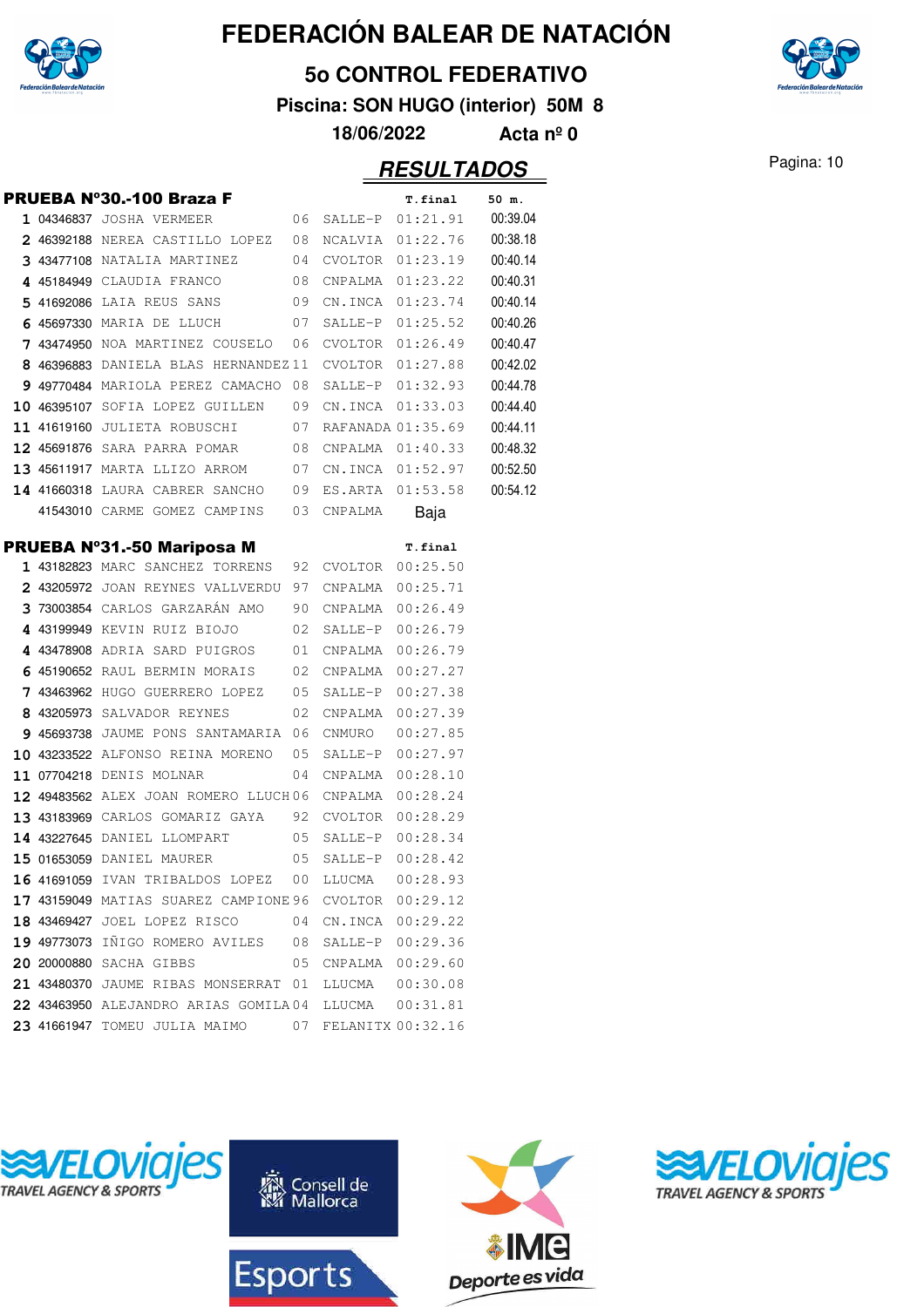

#### **5o CONTROL FEDERATIVO**

**Piscina: SON HUGO (interior) 50M 8**

**18/06/2022 Acta nº 0**

|  | PRUEBA Nº30.-100 Braza F                               |    |                     | T.final             | 50 m.    |
|--|--------------------------------------------------------|----|---------------------|---------------------|----------|
|  | 1 04346837 JOSHA VERMEER 66 SALLE-P 01:21.91 00:39.04  |    |                     |                     |          |
|  | 2 46392188 NEREA CASTILLO LOPEZ 08 NCALVIA 01:22.76    |    |                     |                     | 00:38.18 |
|  | 3 43477108 NATALIA MARTINEZ 04 CVOLTOR 01:23.19        |    |                     |                     | 00:40.14 |
|  | 4 45184949 CLAUDIA FRANCO                              |    |                     | 08 CNPALMA 01:23.22 | 00:40.31 |
|  | 5 41692086 LAIA REUS SANS 09 CN.INCA 01:23.74          |    |                     |                     | 00:40.14 |
|  | 6 45697330 MARIA DE LLUCH 07 SALLE-P 01:25.52          |    |                     |                     | 00:40.26 |
|  | 7 43474950 NOA MARTINEZ COUSELO 06 CVOLTOR 01:26.49    |    |                     |                     | 00:40.47 |
|  | 8 46396883 DANIELA BLAS HERNANDEZ11 CVOLTOR 01:27.88   |    |                     |                     | 00:42.02 |
|  | 9 49770484 MARIOLA PEREZ CAMACHO 08 SALLE-P $01:32.93$ |    |                     |                     | 00:44.78 |
|  | 10 46395107 SOFIA LOPEZ GUILLEN 09 CN.INCA 01:33.03    |    |                     |                     | 00:44.40 |
|  | 11 41619160 JULIETA ROBUSCHI 07 RAFANADA 01:35.69      |    |                     |                     | 00:44.11 |
|  | 12 45691876 SARA PARRA POMAR 08 CNPALMA 01:40.33       |    |                     |                     | 00:48.32 |
|  | 13 45611917 MARTA LLIZO ARROM 07 CN.INCA 01:52.97      |    |                     |                     | 00:52.50 |
|  | 14 41660318 LAURA CABRER SANCHO 09 ES.ARTA 01:53.58    |    |                     |                     | 00:54.12 |
|  | 41543010 CARME GOMEZ CAMPINS 03 CNPALMA                |    |                     | Baja                |          |
|  | PRUEBA Nº31.-50 Mariposa M                             |    |                     | T.final             |          |
|  | 1 43182823 MARC SANCHEZ TORRENS 92 CVOLTOR 00:25.50    |    |                     |                     |          |
|  | 2 43205972 JOAN REYNES VALLVERDU 97 CNPALMA 00:25.71   |    |                     |                     |          |
|  | 3 73003854 CARLOS GARZARÁN AMO 90 CNPALMA 00:26.49     |    |                     |                     |          |
|  | 4 43199949 KEVIN RUIZ BIOJO 02 SALLE-P 00:26.79        |    |                     |                     |          |
|  | 4 43478908 ADRIA SARD PUIGROS 01 CNPALMA 00:26.79      |    |                     |                     |          |
|  | 6 45190652 RAUL BERMIN MORAIS 02 CNPALMA 00:27.27      |    |                     |                     |          |
|  | 7 43463962 HUGO GUERRERO LOPEZ 05 SALLE-P 00:27.38     |    |                     |                     |          |
|  | 8 43205973 SALVADOR REYNES                             |    | 02 CNPALMA 00:27.39 |                     |          |
|  | 9 45693738 JAUME PONS SANTAMARIA 06 CNMURO 00:27.85    |    |                     |                     |          |
|  | 10 43233522 ALFONSO REINA MORENO 05 SALLE-P 00:27.97   |    |                     |                     |          |
|  | $11$ 07704218 denis molnar $04$ cnpalma $00:28.10$     |    |                     |                     |          |
|  | 12 49483562 ALEX JOAN ROMERO LLUCH06 CNPALMA 00:28.24  |    |                     |                     |          |
|  | 13 43183969 CARLOS GOMARIZ GAYA 92 CVOLTOR 00:28.29    |    |                     |                     |          |
|  | 14 43227645 DANIEL LLOMPART 05 SALLE-P 00:28.34        |    |                     |                     |          |
|  | 15 01653059 DANIEL MAURER 05 SALLE-P 00:28.42          |    |                     |                     |          |
|  | 16 41691059 IVAN TRIBALDOS LOPEZ                       | 00 | LLUCMA              | 00:28.93            |          |
|  | 17 43159049 MATIAS SUAREZ CAMPIONE 96 CVOLTOR 00:29.12 |    |                     |                     |          |
|  | 18 43469427 JOEL LOPEZ RISCO 04 CN.INCA 00:29.22       |    |                     |                     |          |
|  | 19 49773073 IÑIGO ROMERO AVILES 08 SALLE-P 00:29.36    |    |                     |                     |          |
|  | 20 20000880 SACHA GIBBS                                |    | 05 CNPALMA 00:29.60 |                     |          |
|  | 21 43480370 JAUME RIBAS MONSERRAT 01 LLUCMA  00:30.08  |    |                     |                     |          |
|  | 22 43463950 ALEJANDRO ARIAS GOMILA04 LLUCMA 00:31.81   |    |                     |                     |          |
|  | 23 41661947 TOMEU JULIA MAIMO 67 FELANITX 00:32.16     |    |                     |                     |          |
|  |                                                        |    |                     |                     |          |









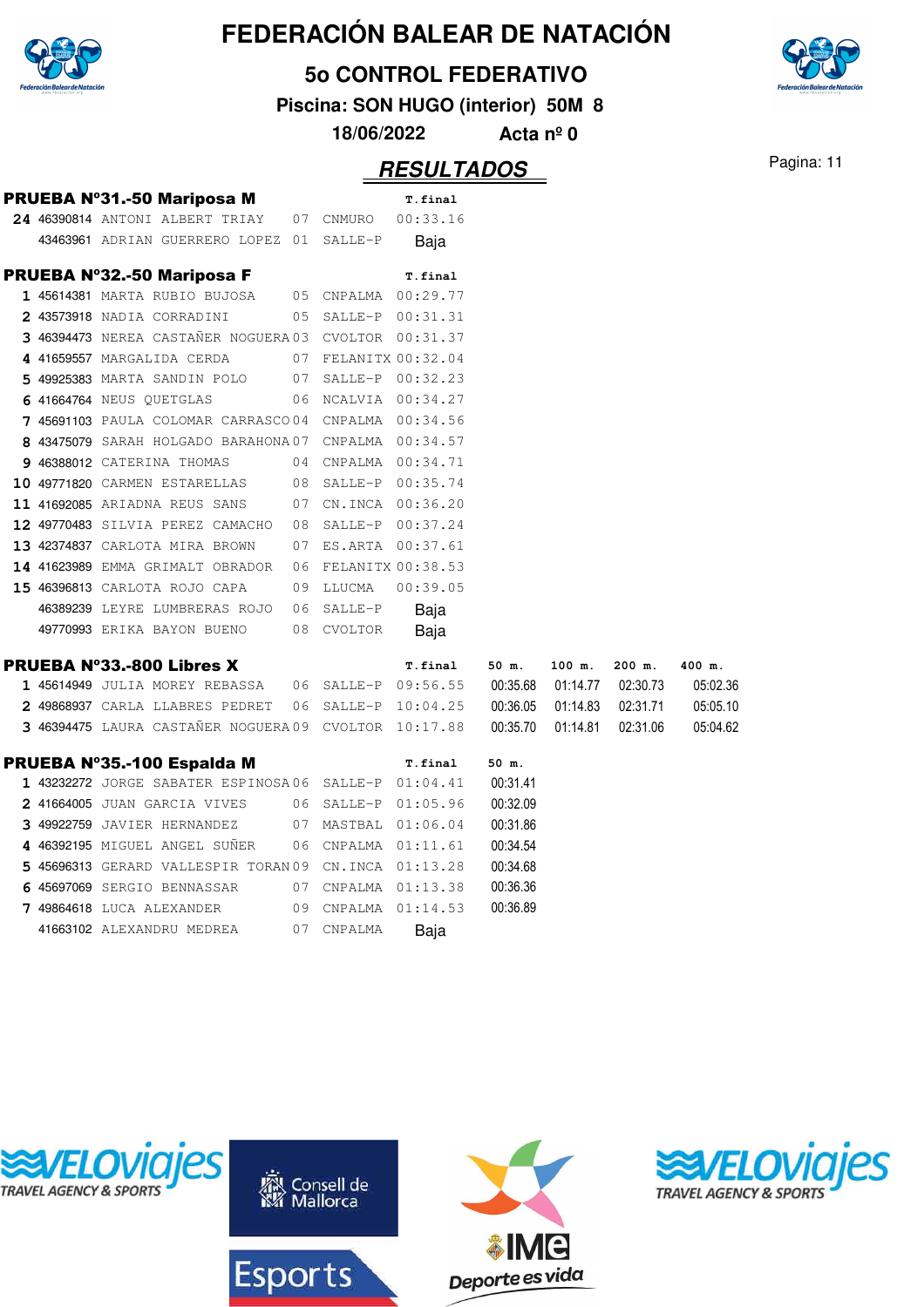

**5o CONTROL FEDERATIVO**

**Piscina: SON HUGO (interior) 50M 8**

**18/06/2022 Acta nº 0**

|  | PRUEBA Nº31.-50 Mariposa M                            |    |                     | T.final              |          |                              |                   |          |
|--|-------------------------------------------------------|----|---------------------|----------------------|----------|------------------------------|-------------------|----------|
|  | 24 46390814 ANTONI ALBERT TRIAY                       |    | 07 CNMURO           | 00:33.16             |          |                              |                   |          |
|  | 43463961 ADRIAN GUERRERO LOPEZ 01                     |    | SALLE-P             | Baja                 |          |                              |                   |          |
|  | <b>PRUEBA Nº32.-50 Mariposa F</b>                     |    |                     | T.final              |          |                              |                   |          |
|  | 1 45614381 MARTA RUBIO BUJOSA                         |    |                     | 05 CNPALMA 00:29.77  |          |                              |                   |          |
|  | 2 43573918 NADIA CORRADINI                            |    |                     | 05 SALLE-P 00:31.31  |          |                              |                   |          |
|  | 3 46394473 NEREA CASTAÑER NOGUERA 03 CVOLTOR 00:31.37 |    |                     |                      |          |                              |                   |          |
|  | 4 41659557 MARGALIDA CERDA                            |    |                     | 07 FELANITX 00:32.04 |          |                              |                   |          |
|  | 5 49925383 MARTA SANDIN POLO                          |    |                     | 07 SALLE-P 00:32.23  |          |                              |                   |          |
|  | 6 41664764 NEUS QUETGLAS                              |    |                     | 06 NCALVIA 00:34.27  |          |                              |                   |          |
|  | 7 45691103 PAULA COLOMAR CARRASCO 04 CNPALMA 00:34.56 |    |                     |                      |          |                              |                   |          |
|  | 8 43475079 SARAH HOLGADO BARAHONA 07 CNPALMA 00:34.57 |    |                     |                      |          |                              |                   |          |
|  | 9 46388012 CATERINA THOMAS                            |    |                     | 04 CNPALMA 00:34.71  |          |                              |                   |          |
|  | 10 49771820 CARMEN ESTARELLAS                         |    |                     | 08 SALLE-P 00:35.74  |          |                              |                   |          |
|  | 11 41692085 ARIADNA REUS SANS                         | 07 |                     | CN.INCA 00:36.20     |          |                              |                   |          |
|  | 12 49770483 SILVIA PEREZ CAMACHO                      | 08 |                     | SALLE-P 00:37.24     |          |                              |                   |          |
|  | 13 42374837 CARLOTA MIRA BROWN                        | 07 |                     | ES.ARTA 00:37.61     |          |                              |                   |          |
|  | 14 41623989 EMMA GRIMALT OBRADOR                      |    |                     | 06 FELANITX 00:38.53 |          |                              |                   |          |
|  | 15 46396813 CARLOTA ROJO CAPA                         |    | 09 LLUCMA           | 00:39.05             |          |                              |                   |          |
|  | 46389239 LEYRE LUMBRERAS ROJO                         |    | 06 SALLE-P          | Baja                 |          |                              |                   |          |
|  | 49770993 ERIKA BAYON BUENO                            |    | 08 CVOLTOR          | Baja                 |          |                              |                   |          |
|  | <b>PRUEBA Nº33.-800 Libres X</b>                      |    |                     | T.final              | 50 m.    | 100 m.                       | $200$ m.          | 400 m.   |
|  | 1 45614949 JULIA MOREY REBASSA                        |    |                     | 06 SALLE-P 09:56.55  |          | 00:35.68  01:14.77  02:30.73 |                   | 05:02.36 |
|  | 2 49868937 CARLA LLABRES PEDRET                       |    |                     | 06 SALLE-P 10:04.25  | 00:36.05 |                              | 01:14.83 02:31.71 | 05:05.10 |
|  | 3 46394475 LAURA CASTAÑER NOGUERA 09 CVOLTOR 10:17.88 |    |                     |                      | 00:35.70 | 01:14.81                     | 02:31.06          | 05:04.62 |
|  | PRUEBA Nº35.-100 Espalda M                            |    |                     | T.final              | 50 m.    |                              |                   |          |
|  | 1 43232272 JORGE SABATER ESPINOSA06 SALLE-P 01:04.41  |    |                     |                      | 00:31.41 |                              |                   |          |
|  | 2 41664005 JUAN GARCIA VIVES                          |    |                     | 06 SALLE-P 01:05.96  | 00:32.09 |                              |                   |          |
|  | 3 49922759 JAVIER HERNANDEZ                           |    |                     | 07 MASTBAL 01:06.04  | 00:31.86 |                              |                   |          |
|  | 4 46392195 MIGUEL ANGEL SUÑER                         |    |                     | 06 CNPALMA 01:11.61  | 00:34.54 |                              |                   |          |
|  | 5 45696313 GERARD VALLESPIR TORAN 09 CN.INCA 01:13.28 |    |                     |                      | 00:34.68 |                              |                   |          |
|  | 6 45697069 SERGIO BENNASSAR                           |    |                     | 07 CNPALMA 01:13.38  | 00:36.36 |                              |                   |          |
|  | 7 49864618 LUCA ALEXANDER                             |    |                     |                      | 00:36.89 |                              |                   |          |
|  |                                                       |    | 09 CNPALMA 01:14.53 |                      |          |                              |                   |          |









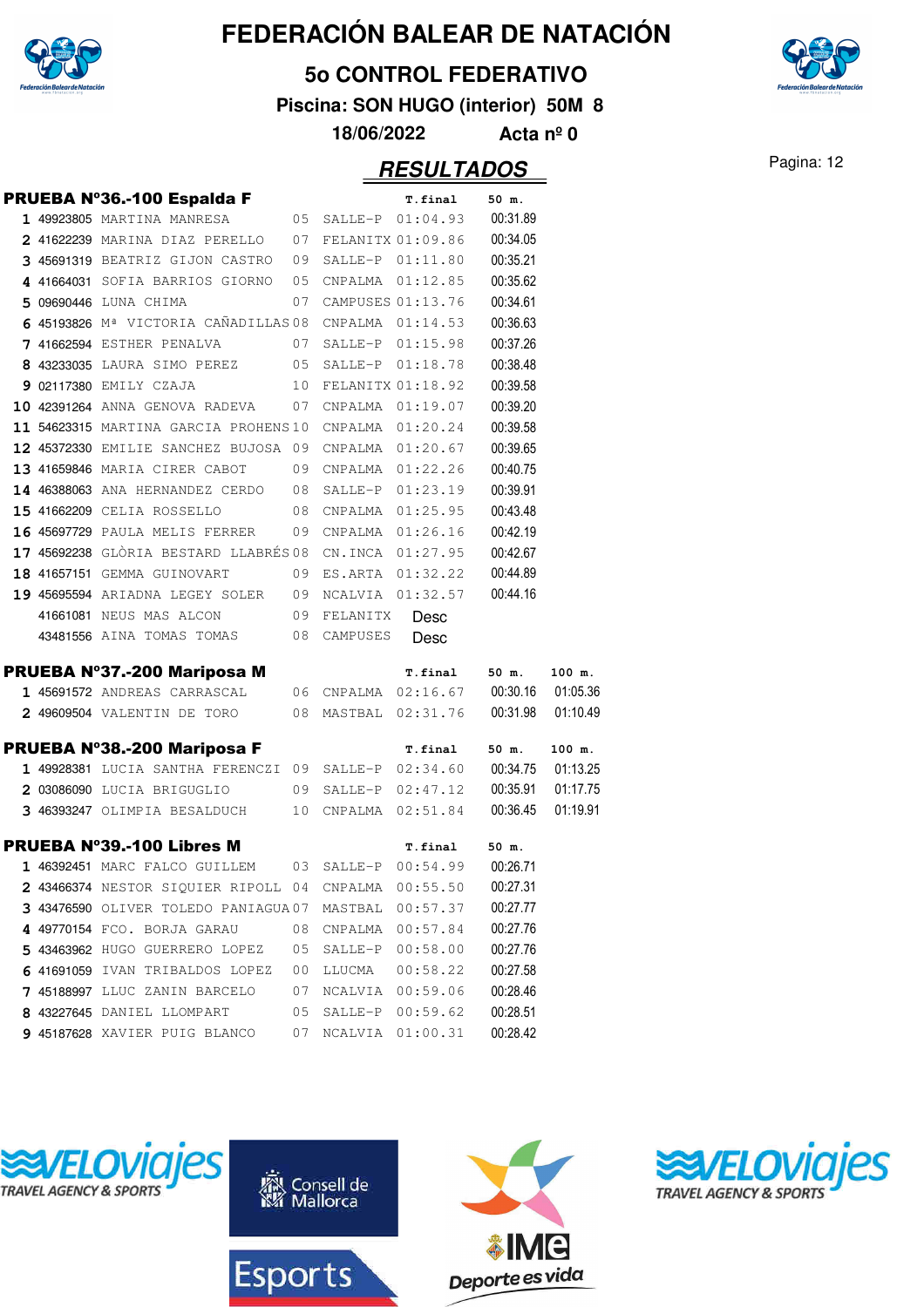

#### **5o CONTROL FEDERATIVO**

**Piscina: SON HUGO (interior) 50M 8**

**18/06/2022 Acta nº 0**

### Pagina: 12 **RESULTADOS**

|  | PRUEBA Nº36.-100 Espalda F                                                                   |    |             | <b>T.final</b>               | 50 m.    |          |
|--|----------------------------------------------------------------------------------------------|----|-------------|------------------------------|----------|----------|
|  | 1 49923805 MARTINA MANRESA                                                                   |    |             | 05 SALLE-P 01:04.93 00:31.89 |          |          |
|  | 2 41622239 MARINA DIAZ PERELLO 07 FELANITX 01:09.86                                          |    |             |                              | 00:34.05 |          |
|  | 3 45691319 BEATRIZ GIJON CASTRO 09 SALLE-P 01:11.80                                          |    |             |                              | 00:35.21 |          |
|  | 4 41664031 SOFIA BARRIOS GIORNO 05 CNPALMA 01:12.85                                          |    |             |                              | 00:35.62 |          |
|  | 5 09690446 LUNA CHIMA                                                                        |    |             | 07 CAMPUSES 01:13.76         | 00:34.61 |          |
|  | 6 45193826 $M^a$ VICTORIA CAÑADILLAS 08 CNPALMA $01:14.53$                                   |    |             |                              | 00:36.63 |          |
|  | 7 41662594 ESTHER PENALVA 07                                                                 |    |             | SALLE-P 01:15.98             | 00:37.26 |          |
|  | 8 43233035 LAURA SIMO PEREZ 05 SALLE-P 01:18.78                                              |    |             |                              | 00:38.48 |          |
|  | 9 02117380 EMILY CZAJA                                                                       |    |             | 10 FELANITX 01:18.92         | 00:39.58 |          |
|  | 10 42391264 ANNA GENOVA RADEVA 07 CNPALMA 01:19.07                                           |    |             |                              | 00:39.20 |          |
|  | $11$ 54623315 MARTINA GARCIA PROHENS 10 CNPALMA $01:20.24$                                   |    |             |                              | 00:39.58 |          |
|  | 12 45372330 EMILIE SANCHEZ BUJOSA 09 CNPALMA 01:20.67                                        |    |             |                              | 00:39.65 |          |
|  | 13 41659846 MARIA CIRER CABOT 09 CNPALMA 01:22.26                                            |    |             |                              | 00:40.75 |          |
|  | 14 46388063 ANA HERNANDEZ CERDO 08                                                           |    |             | SALLE-P 01:23.19             | 00:39.91 |          |
|  | 15 41662209 CELIA ROSSELLO 08                                                                |    |             | CNPALMA 01:25.95             | 00:43.48 |          |
|  | 16 45697729 PAULA MELIS FERRER 09                                                            |    |             | CNPALMA 01:26.16             | 00:42.19 |          |
|  | 17 45692238 GLÒRIA BESTARD LLABRÉS 08                                                        |    |             | CN.INCA 01:27.95             | 00:42.67 |          |
|  | 18 41657151 GEMMA GUINOVART                                                                  | 09 |             | ES.ARTA 01:32.22             | 00:44.89 |          |
|  | 19 45695594 ARIADNA LEGEY SOLER 09                                                           |    |             | NCALVIA 01:32.57             | 00:44.16 |          |
|  | 41661081 NEUS MAS ALCON                                                                      |    | 09 FELANITX | Desc                         |          |          |
|  | 43481556 AINA TOMAS TOMAS 08 CAMPUSES                                                        |    |             | Desc                         |          |          |
|  | PRUEBA N°37.-200 Mariposa M                                                                  |    |             | T.final 50 m.                |          | 100 m.   |
|  |                                                                                              |    |             |                              |          |          |
|  | 1 45691572 ANDREAS CARRASCAL 06 CNPALMA 02:16.67 00:30.16 01:05.36                           |    |             |                              |          |          |
|  | 2 49609504 VALENTIN DE TORO 08 MASTBAL 02:31.76 00:31.98                                     |    |             |                              |          | 01:10.49 |
|  |                                                                                              |    |             | T.final                      | 50 m.    | 100 m.   |
|  | PRUEBA Nº38.-200 Mariposa F<br>1 49928381 LUCIA SANTHA FERENCZI 09 SALLE-P 02:34.60 00:34.75 |    |             |                              |          | 01:13.25 |
|  | 2 03086090 LUCIA BRIGUGLIO 09 SALLE-P 02:47.12                                               |    |             |                              | 00:35.91 | 01:17.75 |
|  | 3 46393247 OLIMPIA BESALDUCH 10 CNPALMA 02:51.84                                             |    |             |                              | 00:36.45 | 01:19.91 |
|  | <b>PRUEBA Nº39.-100 Libres M</b>                                                             |    |             | T.final 50 m.                |          |          |
|  | 1 46392451 MARC FALCO GUILLEM 03 SALLE-P 00:54.99 00:26.71                                   |    |             |                              |          |          |
|  | 2 43466374 NESTOR SIQUIER RIPOLL 04 CNPALMA 00:55.50 00:27.31                                |    |             |                              |          |          |
|  | $3$ 43476590 oliver toledo paniagua.07 mastbal $00:57.37$                                    |    |             |                              | 00:27.77 |          |
|  | 4 49770154 FCO. BORJA GARAU                                                                  |    |             | 08 CNPALMA 00:57.84          | 00:27.76 |          |
|  | 5 43463962 HUGO GUERRERO LOPEZ                                                               | 05 |             | SALLE-P 00:58.00             | 00:27.76 |          |
|  | 6 41691059 IVAN TRIBALDOS LOPEZ                                                              | 00 |             | LLUCMA  00:58.22             | 00:27.58 |          |
|  | 7 45188997 LLUC ZANIN BARCELO                                                                | 07 |             | NCALVIA 00:59.06             | 00:28.46 |          |
|  | 8 43227645 DANIEL LLOMPART                                                                   | 05 |             | SALLE-P 00:59.62             | 00:28.51 |          |
|  | <b>9 45187628</b> XAVIER PUIG BLANCO                                                         | 07 |             | NCALVIA 01:00.31             | 00:28.42 |          |









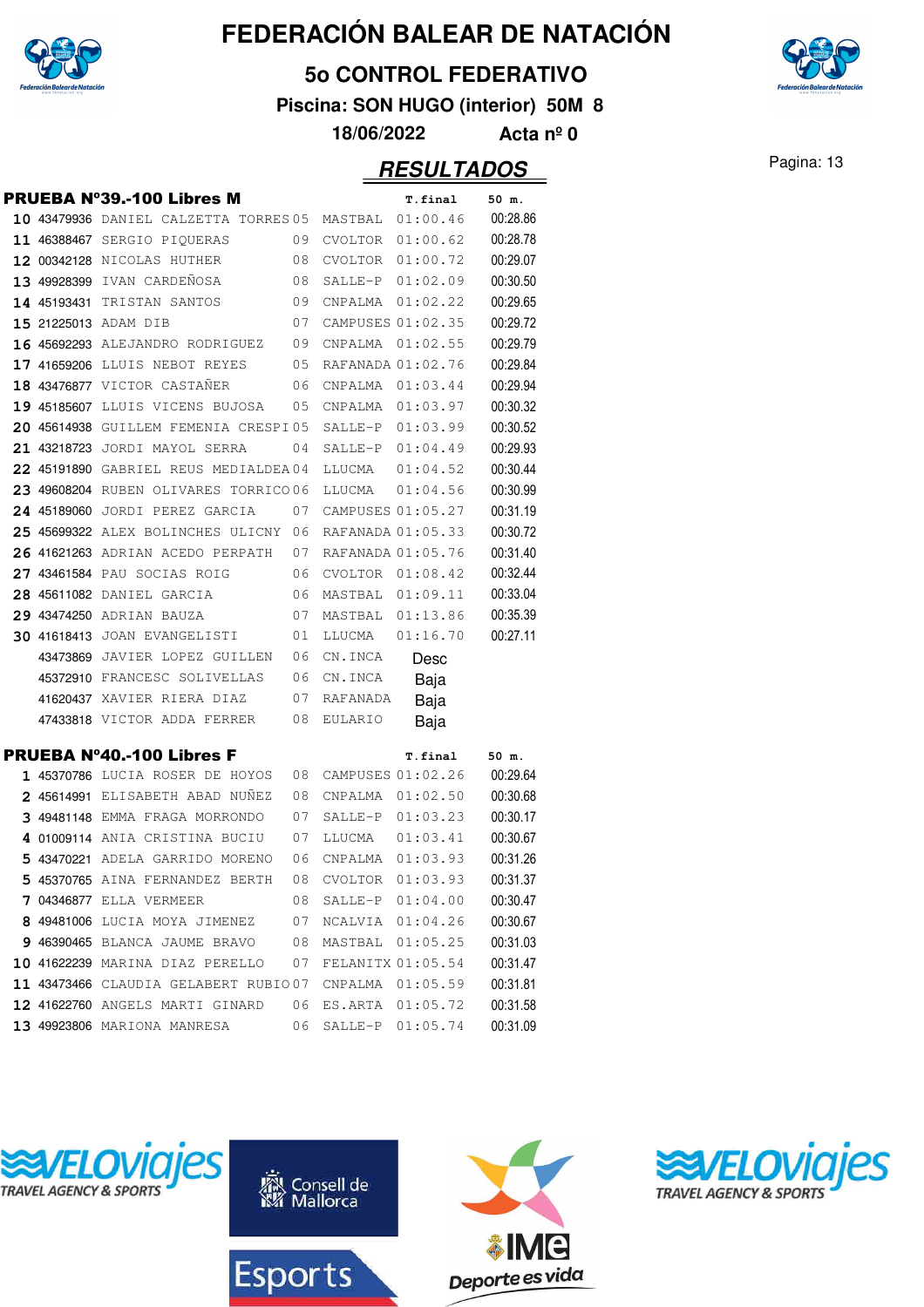

#### **5o CONTROL FEDERATIVO**

**Piscina: SON HUGO (interior) 50M 8**

**18/06/2022 Acta nº 0**

### Pagina: 13 **RESULTADOS**

|  | PRUEBA Nº39.-100 Libres M              |    |                   | T.final           | 50 m.    |
|--|----------------------------------------|----|-------------------|-------------------|----------|
|  | 10 43479936 DANIEL CALZETTA TORRES 05  |    | MASTBAL           | 01:00.46          | 00:28.86 |
|  | 11 46388467 SERGIO PIOUERAS            | 09 |                   | CVOLTOR 01:00.62  | 00:28.78 |
|  | 12 00342128 NICOLAS HUTHER             | 08 |                   | CVOLTOR 01:00.72  | 00:29.07 |
|  | 13 49928399 IVAN CARDEÑOSA             | 08 |                   | SALLE-P 01:02.09  | 00:30.50 |
|  | 14 45193431 TRISTAN SANTOS             | 09 | CNPALMA           | 01:02.22          | 00:29.65 |
|  | 15 21225013 ADAM DIB                   | 07 |                   | CAMPUSES 01:02.35 | 00:29.72 |
|  | <b>16 45692293</b> ALEJANDRO RODRIGUEZ | 09 | CNPALMA           | 01:02.55          | 00:29.79 |
|  | 17 41659206 LLUIS NEBOT REYES          | 05 | RAFANADA 01:02.76 |                   | 00:29.84 |
|  | 18 43476877 VICTOR CASTAÑER            | 06 |                   | CNPALMA  01:03.44 | 00:29.94 |
|  | 19 45185607 LLUIS VICENS BUJOSA        | 05 |                   | CNPALMA 01:03.97  | 00:30.32 |
|  | 20 45614938 GUILLEM FEMENIA CRESPI05   |    |                   | SALLE-P 01:03.99  | 00:30.52 |
|  | 21 43218723 JORDI MAYOL SERRA          | 04 |                   | SALLE-P 01:04.49  | 00:29.93 |
|  | 22 45191890 GABRIEL REUS MEDIALDEA04   |    | LLUCMA            | 01:04.52          | 00:30.44 |
|  | 23 49608204 RUBEN OLIVARES TORRICO 06  |    | LLUCMA            | 01:04.56          | 00:30.99 |
|  | 24 45189060 JORDI PEREZ GARCIA         | 07 |                   | CAMPUSES 01:05.27 | 00:31.19 |
|  | 25 45699322 ALEX BOLINCHES ULICNY 06   |    | RAFANADA 01:05.33 |                   | 00:30.72 |
|  | 26 41621263 ADRIAN ACEDO PERPATH       | 07 | RAFANADA 01:05.76 |                   | 00:31.40 |
|  | 27 43461584 PAU SOCIAS ROIG            | 06 |                   | CVOLTOR 01:08.42  | 00:32.44 |
|  | 28 45611082 DANIEL GARCIA              | 06 |                   | MASTBAL 01:09.11  | 00:33.04 |
|  | 29 43474250 ADRIAN BAUZA               | 07 | MASTBAL 01:13.86  |                   | 00:35.39 |
|  | 30 41618413 JOAN EVANGELISTI           | 01 | LLUCMA            | 01:16.70          | 00:27.11 |
|  | 43473869 JAVIER LOPEZ GUILLEN          | 06 | CN.INCA           | Desc              |          |
|  | 45372910 FRANCESC SOLIVELLAS           | 06 | CN.INCA           | Baja              |          |
|  | 41620437 XAVIER RIERA DIAZ             | 07 | RAFANADA          | Baja              |          |
|  | 47433818 VICTOR ADDA FERRER            | 08 | EULARIO           | Baja              |          |
|  | PRUEBA Nº40.-100 Libres F              |    |                   | T.final           | 50 m.    |
|  | 1 45370786 LUCIA ROSER DE HOYOS        | 08 |                   | CAMPUSES 01:02.26 | 00:29.64 |
|  | 2 45614991 ELISABETH ABAD NUNEZ        | 08 |                   | CNPALMA  01:02.50 | 00:30.68 |
|  | 3 49481148 EMMA FRAGA MORRONDO         | 07 |                   | SALLE-P 01:03.23  | 00:30.17 |
|  | 4 01009114 ANIA CRISTINA BUCIU         | 07 | LLUCMA            | 01:03.41          | 00:30.67 |
|  | 5 43470221 ADELA GARRIDO MORENO        | 06 |                   | CNPALMA 01:03.93  | 00:31.26 |
|  | 5 45370765 AINA FERNANDEZ BERTH        | 08 |                   | CVOLTOR 01:03.93  | 00:31.37 |
|  | 7 04346877 ELLA VERMEER                | 08 | SALLE-P 01:04.00  |                   | 00:30.47 |
|  | 8 49481006 LUCIA MOYA JIMENEZ          | 07 | NCALVIA 01:04.26  |                   | 00:30.67 |
|  | 9 46390465 BLANCA JAUME BRAVO          | 08 | MASTBAL           | 01:05.25          | 00:31.03 |
|  | 10 41622239 MARINA DIAZ PERELLO        | 07 | FELANITX 01:05.54 |                   | 00:31.47 |
|  | 11 43473466 CLAUDIA GELABERT RUBIO07   |    | CNPALMA           | 01:05.59          | 00:31.81 |
|  | 12 41622760 ANGELS MARTI GINARD        | 06 | ES.ARTA           | 01:05.72          | 00:31.58 |
|  | 13 49923806 MARIONA MANRESA            | 06 | $SALLE-P$         | 01:05.74          | 00:31.09 |









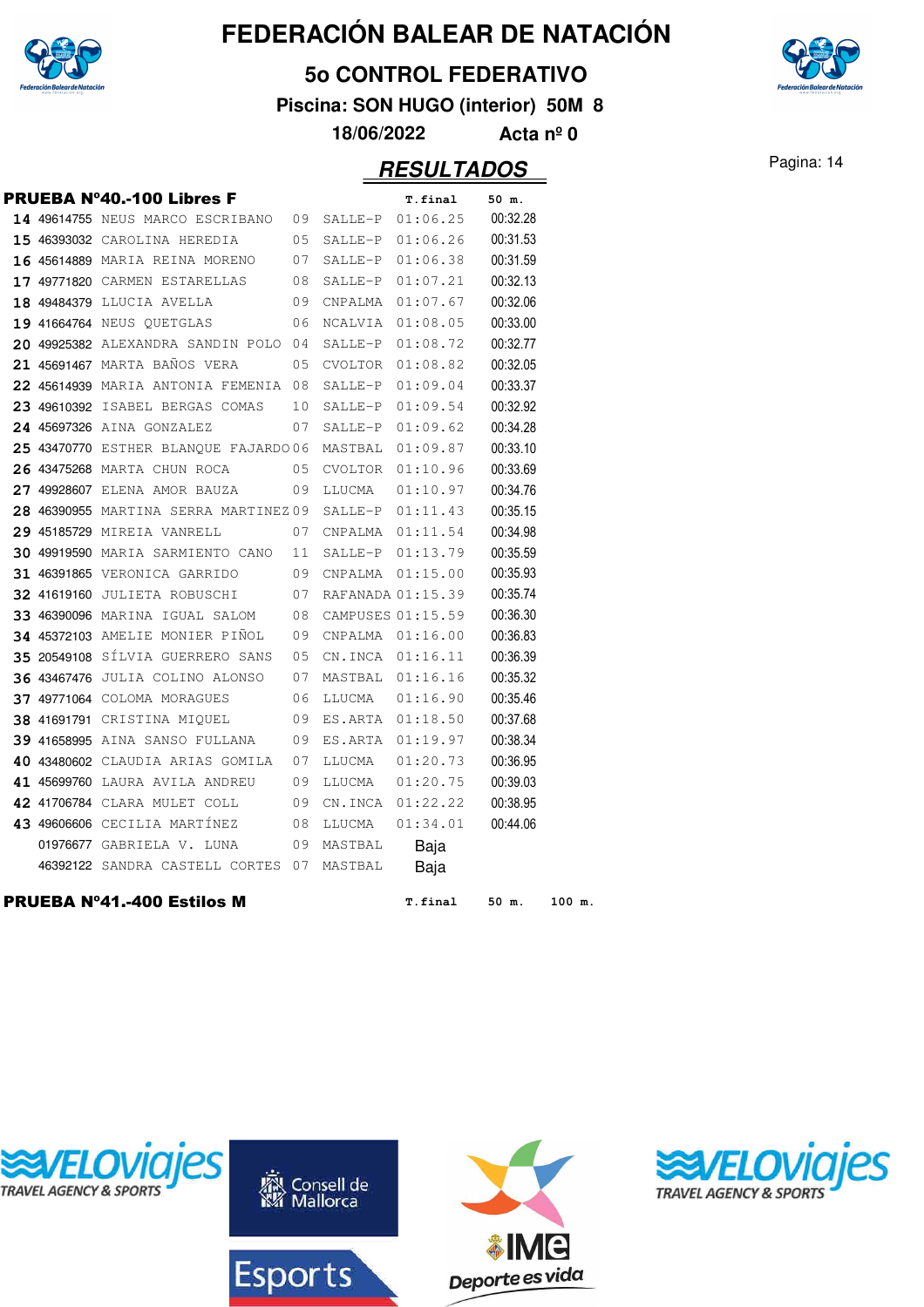

#### **5o CONTROL FEDERATIVO**

**Piscina: SON HUGO (interior) 50M 8**

**18/06/2022 Acta nº 0**

### Pagina: 14 **RESULTADOS**

ies

|  | PRUEBA N°40.-100 Libres F                            |    |         | T.final           | 50 m.    |        |
|--|------------------------------------------------------|----|---------|-------------------|----------|--------|
|  | 14 49614755 NEUS MARCO ESCRIBANO 09 SALLE-P 01:06.25 |    |         |                   | 00:32.28 |        |
|  | 15 46393032 CAROLINA HEREDIA                         | 05 | SALLE-P | 01:06.26          | 00:31.53 |        |
|  | 16 45614889 MARIA REINA MORENO 07                    |    | SALLE-P | 01:06.38          | 00:31.59 |        |
|  | <b>17 49771820</b> CARMEN ESTARELLAS 08              |    | SALLE-P | 01:07.21          | 00:32.13 |        |
|  | 18 49484379 LLUCIA AVELLA                            | 09 |         | CNPALMA 01:07.67  | 00:32.06 |        |
|  | <b>19 41664764</b> NEUS QUETGLAS                     | 06 | NCALVIA | 01:08.05          | 00:33.00 |        |
|  | 20 49925382 ALEXANDRA SANDIN POLO 04                 |    | SALLE-P | 01:08.72          | 00:32.77 |        |
|  | 21 45691467 MARTA BAÑOS VERA                         | 05 | CVOLTOR | 01:08.82          | 00:32.05 |        |
|  | 22 45614939 MARIA ANTONIA FEMENIA 08                 |    | SALLE-P | 01:09.04          | 00:33.37 |        |
|  | 23 49610392 ISABEL BERGAS COMAS                      | 10 | SALLE-P | 01:09.54          | 00:32.92 |        |
|  | 24 45697326 AINA GONZALEZ                            | 07 | SALLE-P | 01:09.62          | 00:34.28 |        |
|  | 25 43470770 ESTHER BLANQUE FAJARDO 06                |    | MASTBAL | 01:09.87          | 00:33.10 |        |
|  | 26 43475268 MARTA CHUN ROCA                          | 05 | CVOLTOR | 01:10.96          | 00:33.69 |        |
|  | <b>27 49928607</b> Elena amor bauza                  | 09 | LLUCMA  | 01:10.97          | 00:34.76 |        |
|  | 28 46390955 MARTINA SERRA MARTINEZ09                 |    | SALLE-P | 01:11.43          | 00:35.15 |        |
|  | 29 45185729 MIREIA VANRELL                           | 07 |         |                   | 00:34.98 |        |
|  | 30 49919590 MARIA SARMIENTO CANO 11                  |    |         | SALLE-P 01:13.79  | 00:35.59 |        |
|  | 31 46391865 VERONICA GARRIDO                         | 09 |         | CNPALMA 01:15.00  | 00:35.93 |        |
|  | 32 41619160 JULIETA ROBUSCHI 07                      |    |         | RAFANADA 01:15.39 | 00:35.74 |        |
|  | 33 46390096 MARINA IGUAL SALOM 08                    |    |         | CAMPUSES 01:15.59 | 00:36.30 |        |
|  | 34 45372103 AMELIE MONIER PINOL 09                   |    |         | CNPALMA 01:16.00  | 00:36.83 |        |
|  | <b>35 20549108</b> SÍLVIA GUERRERO SANS              | 05 | CN.INCA | 01:16.11          | 00:36.39 |        |
|  | 36 43467476 JULIA COLINO ALONSO                      | 07 | MASTBAL | 01:16.16          | 00:35.32 |        |
|  | 37 49771064 COLOMA MORAGUES                          | 06 | LLUCMA  | 01:16.90          | 00:35.46 |        |
|  | 38 41691791 CRISTINA MIQUEL                          | 09 |         | ES.ARTA 01:18.50  | 00:37.68 |        |
|  | 39 41658995 AINA SANSO FULLANA 09                    |    | ES.ARTA | 01:19.97          | 00:38.34 |        |
|  | 40 43480602 CLAUDIA ARIAS GOMILA                     | 07 | LLUCMA  | 01:20.73          | 00:36.95 |        |
|  | 41 45699760 LAURA AVILA ANDREU 09                    |    | LLUCMA  | 01:20.75          | 00:39.03 |        |
|  | 42 41706784 CLARA MULET COLL                         | 09 |         | CN.INCA 01:22.22  | 00:38.95 |        |
|  | <b>43 49606606</b> CECILIA MARTÍNEZ                  | 08 | LLUCMA  | 01:34.01          | 00:44.06 |        |
|  | 01976677 GABRIELA V. LUNA 09                         |    | MASTBAL | Baja              |          |        |
|  | 46392122 SANDRA CASTELL CORTES 07                    |    | MASTBAL | Baja              |          |        |
|  | PRUEBA Nº41.-400 Estilos M                           |    |         | T.final           | 50 m.    | 100 m. |